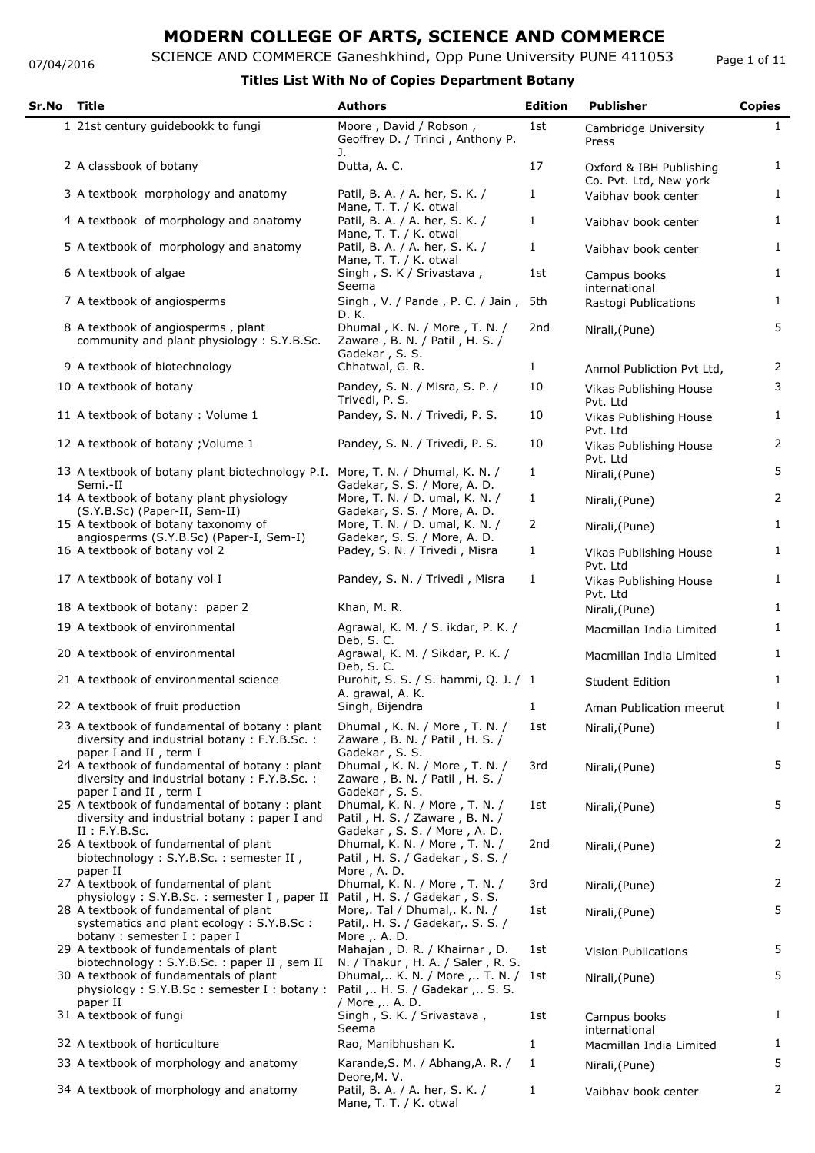#### 07/04/2016

SCIENCE AND COMMERCE Ganeshkhind, Opp Pune University PUNE 411053

Page 1 of 11

| Sr.No | Title                                                                                                                                                                                          | <b>Authors</b>                                                                                   | <b>Edition</b> | <b>Publisher</b>                                  | <b>Copies</b>  |
|-------|------------------------------------------------------------------------------------------------------------------------------------------------------------------------------------------------|--------------------------------------------------------------------------------------------------|----------------|---------------------------------------------------|----------------|
|       | 1 21st century guidebookk to fungi                                                                                                                                                             | Moore, David / Robson,<br>Geoffrey D. / Trinci, Anthony P.<br>J.                                 | 1st            | Cambridge University<br>Press                     | $\mathbf{1}$   |
|       | 2 A classbook of botany                                                                                                                                                                        | Dutta, A. C.                                                                                     | 17             | Oxford & IBH Publishing<br>Co. Pvt. Ltd, New york | $\mathbf{1}$   |
|       | 3 A textbook morphology and anatomy                                                                                                                                                            | Patil, B. A. / A. her, S. K. /<br>Mane, T. T. / K. otwal                                         | 1              | Vaibhav book center                               | $\mathbf{1}$   |
|       | 4 A textbook of morphology and anatomy                                                                                                                                                         | Patil, B. A. / A. her, S. K. /<br>Mane, T. T. / K. otwal                                         | 1              | Vaibhav book center                               | $\mathbf{1}$   |
|       | 5 A textbook of morphology and anatomy                                                                                                                                                         | Patil, B. A. / A. her, S. K. /<br>Mane, T. T. / K. otwal                                         | 1              | Vaibhav book center                               | $\mathbf{1}$   |
|       | 6 A textbook of algae                                                                                                                                                                          | Singh, S. K / Srivastava,<br>Seema                                                               | 1st            | Campus books<br>international                     | $\mathbf{1}$   |
|       | 7 A textbook of angiosperms                                                                                                                                                                    | Singh, V. / Pande, P. C. / Jain, 5th<br>D. K.                                                    |                | Rastogi Publications                              | 1              |
|       | 8 A textbook of angiosperms, plant<br>community and plant physiology: S.Y.B.Sc.                                                                                                                | Dhumal, K. N. / More, T. N. /<br>Zaware, B. N. / Patil, H. S. /<br>Gadekar, S. S.                | 2nd            | Nirali, (Pune)                                    | 5              |
|       | 9 A textbook of biotechnology                                                                                                                                                                  | Chhatwal, G. R.                                                                                  | $\mathbf{1}$   | Anmol Publiction Pvt Ltd,                         | 2              |
|       | 10 A textbook of botany                                                                                                                                                                        | Pandey, S. N. / Misra, S. P. /<br>Trivedi, P. S.                                                 | 10             | Vikas Publishing House<br>Pvt. Ltd                | 3              |
|       | 11 A textbook of botany: Volume 1                                                                                                                                                              | Pandey, S. N. / Trivedi, P. S.                                                                   | 10             | Vikas Publishing House<br>Pvt. Ltd                | $\mathbf{1}$   |
|       | 12 A textbook of botany; Volume 1                                                                                                                                                              | Pandey, S. N. / Trivedi, P. S.                                                                   | 10             | Vikas Publishing House<br>Pvt. Ltd                | 2              |
|       | 13 A textbook of botany plant biotechnology P.I. More, T. N. / Dhumal, K. N. /<br>Semi.-II                                                                                                     | Gadekar, S. S. / More, A. D.                                                                     | 1              | Nirali, (Pune)                                    | 5              |
|       | 14 A textbook of botany plant physiology<br>(S.Y.B.Sc) (Paper-II, Sem-II)                                                                                                                      | More, T. N. / D. umal, K. N. /<br>Gadekar, S. S. / More, A. D.                                   | $\mathbf{1}$   | Nirali, (Pune)                                    | $\overline{2}$ |
|       | 15 A textbook of botany taxonomy of<br>angiosperms (S.Y.B.Sc) (Paper-I, Sem-I)                                                                                                                 | More, T. N. / D. umal, K. N. /<br>Gadekar, S. S. / More, A. D.                                   | $\overline{2}$ | Nirali, (Pune)                                    | $\mathbf{1}$   |
|       | 16 A textbook of botany vol 2                                                                                                                                                                  | Padey, S. N. / Trivedi, Misra                                                                    | 1              | Vikas Publishing House<br>Pvt. Ltd                | $\mathbf{1}$   |
|       | 17 A textbook of botany vol I                                                                                                                                                                  | Pandey, S. N. / Trivedi, Misra                                                                   | 1              | Vikas Publishing House<br>Pvt. Ltd                | $\mathbf{1}$   |
|       | 18 A textbook of botany: paper 2                                                                                                                                                               | Khan, M. R.                                                                                      |                | Nirali, (Pune)                                    | 1              |
|       | 19 A textbook of environmental                                                                                                                                                                 | Agrawal, K. M. / S. ikdar, P. K. /<br>Deb. S. C.                                                 |                | Macmillan India Limited                           | 1              |
|       | 20 A textbook of environmental                                                                                                                                                                 | Agrawal, K. M. / Sikdar, P. K. /<br>Deb, S. C.                                                   |                | Macmillan India Limited                           | 1              |
|       | 21 A textbook of environmental science                                                                                                                                                         | Purohit, S. S. / S. hammi, Q. J. / 1<br>A. grawal, A. K.                                         |                | <b>Student Edition</b>                            | $\mathbf{1}$   |
|       | 22 A textbook of fruit production                                                                                                                                                              | Singh, Bijendra                                                                                  | $\mathbf{1}$   | Aman Publication meerut                           | $\mathbf{1}$   |
|       | 23 A textbook of fundamental of botany: plant<br>diversity and industrial botany: F.Y.B.Sc.:<br>paper I and II, term I                                                                         | Dhumal, K. N. / More, T. N. /<br>Zaware, B. N. / Patil, H. S. /<br>Gadekar, S. S.                | 1st            | Nirali, (Pune)                                    | $\mathbf{1}$   |
|       | 24 A textbook of fundamental of botany: plant<br>diversity and industrial botany: F.Y.B.Sc.:                                                                                                   | Dhumal, K. N. / More, T. N. /<br>Zaware, B. N. / Patil, H. S. /<br>Gadekar, S. S.                | 3rd            | Nirali, (Pune)                                    | 5              |
|       | paper I and II, term I<br>25 A textbook of fundamental of botany: plant<br>diversity and industrial botany: paper I and                                                                        | Dhumal, K. N. / More, T. N. /<br>Patil, H. S. / Zaware, B. N. /                                  | 1st            | Nirali, (Pune)                                    | 5              |
|       | II : F.Y.B.Sc.<br>26 A textbook of fundamental of plant<br>biotechnology: S.Y.B.Sc.: semester II,                                                                                              | Gadekar, S. S. / More, A. D.<br>Dhumal, K. N. / More, T. N. /<br>Patil, H. S. / Gadekar, S. S. / | 2nd            | Nirali, (Pune)                                    | $\overline{2}$ |
|       | paper II<br>27 A textbook of fundamental of plant                                                                                                                                              | More, A. D.<br>Dhumal, K. N. / More, T. N. /                                                     | 3rd            | Nirali, (Pune)                                    | 2              |
|       | physiology: S.Y.B.Sc.: semester I, paper II Patil, H. S. / Gadekar, S. S.<br>28 A textbook of fundamental of plant<br>systematics and plant ecology: S.Y.B.Sc:<br>botany: semester I : paper I | More,. Tal / Dhumal,. K. N. /<br>Patil, H. S. / Gadekar, S. S. /<br>More , . A. D.               | 1st            | Nirali, (Pune)                                    | 5              |
|       | 29 A textbook of fundamentals of plant<br>biotechnology: S.Y.B.Sc.: paper II, sem II                                                                                                           | Mahajan, D. R. / Khairnar, D.<br>N. / Thakur, H. A. / Saler, R. S.                               | 1st            | <b>Vision Publications</b>                        | 5              |
|       | 30 A textbook of fundamentals of plant<br>physiology: S.Y.B.Sc: semester I: botany:<br>paper II                                                                                                | Dhumal, K. N. / More , T. N. /<br>Patil ,  H. S. / Gadekar ,  S. S.<br>/ More , A. D.            | 1st            | Nirali, (Pune)                                    | 5              |
|       | 31 A textbook of fungi                                                                                                                                                                         | Singh, S. K. / Srivastava,<br>Seema                                                              | 1st            | Campus books<br>international                     | $\mathbf{1}$   |
|       | 32 A textbook of horticulture                                                                                                                                                                  | Rao, Manibhushan K.                                                                              | 1              | Macmillan India Limited                           | $\mathbf{1}$   |
|       | 33 A textbook of morphology and anatomy                                                                                                                                                        | Karande, S. M. / Abhang, A. R. /                                                                 | 1              | Nirali, (Pune)                                    | 5              |
|       | 34 A textbook of morphology and anatomy                                                                                                                                                        | Deore, M. V.<br>Patil, B. A. / A. her, S. K. /<br>Mane, T. T. / K. otwal                         | 1              | Vaibhav book center                               | $\overline{2}$ |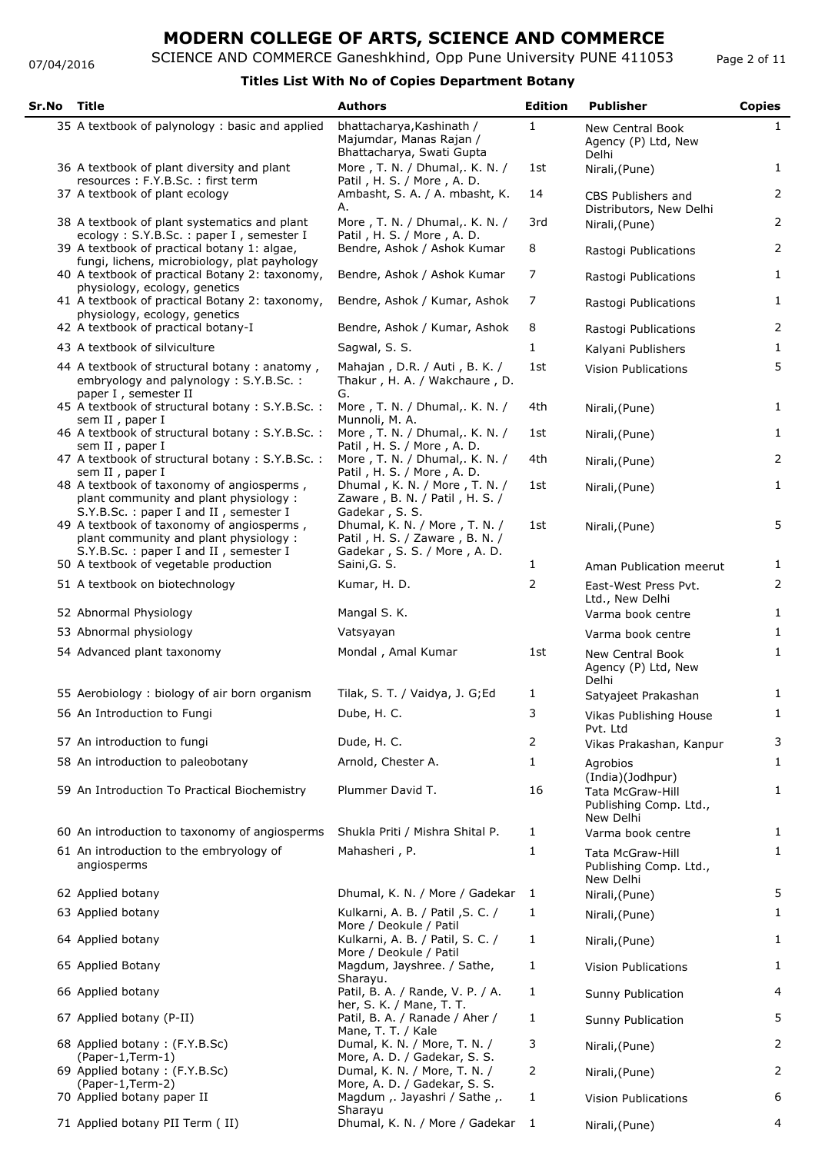07/04/2016

## **MODERN COLLEGE OF ARTS, SCIENCE AND COMMERCE**

SCIENCE AND COMMERCE Ganeshkhind, Opp Pune University PUNE 411053

### **Titles List With No of Copies Department Botany**

| Sr.No | Title                                                                                                                        | <b>Authors</b>                                                                                  | <b>Edition</b> | <b>Publisher</b>                                               | <b>Copies</b> |
|-------|------------------------------------------------------------------------------------------------------------------------------|-------------------------------------------------------------------------------------------------|----------------|----------------------------------------------------------------|---------------|
|       | 35 A textbook of palynology: basic and applied                                                                               | bhattacharya, Kashinath /<br>Majumdar, Manas Rajan /<br>Bhattacharya, Swati Gupta               | 1              | <b>New Central Book</b><br>Agency (P) Ltd, New<br>Delhi        | 1             |
|       | 36 A textbook of plant diversity and plant<br>resources: F.Y.B.Sc.: first term                                               | More, T. N. / Dhumal, K. N. /<br>Patil, H. S. / More, A. D.                                     | 1st            | Nirali, (Pune)                                                 | $\mathbf{1}$  |
|       | 37 A textbook of plant ecology                                                                                               | Ambasht, S. A. / A. mbasht, K.<br>Α.                                                            | 14             | CBS Publishers and<br>Distributors, New Delhi                  | 2             |
|       | 38 A textbook of plant systematics and plant<br>ecology: S.Y.B.Sc.: paper I, semester I                                      | More, T. N. / Dhumal, K. N. /<br>Patil, H. S. / More, A. D.                                     | 3rd            | Nirali, (Pune)                                                 | 2             |
|       | 39 A textbook of practical botany 1: algae,<br>fungi, lichens, microbiology, plat payhology                                  | Bendre, Ashok / Ashok Kumar                                                                     | 8              | Rastogi Publications                                           | 2             |
|       | 40 A textbook of practical Botany 2: taxonomy,<br>physiology, ecology, genetics                                              | Bendre, Ashok / Ashok Kumar                                                                     | 7              | Rastogi Publications                                           | $\mathbf{1}$  |
|       | 41 A textbook of practical Botany 2: taxonomy,<br>physiology, ecology, genetics                                              | Bendre, Ashok / Kumar, Ashok                                                                    | 7              | Rastogi Publications                                           | $\mathbf{1}$  |
|       | 42 A textbook of practical botany-I                                                                                          | Bendre, Ashok / Kumar, Ashok                                                                    | 8              | Rastogi Publications                                           | 2             |
|       | 43 A textbook of silviculture                                                                                                | Sagwal, S. S.                                                                                   | 1              | Kalyani Publishers                                             | $\mathbf{1}$  |
|       | 44 A textbook of structural botany: anatomy,<br>embryology and palynology: S.Y.B.Sc.:<br>paper I, semester II                | Mahajan, D.R. / Auti, B. K. /<br>Thakur, H. A. / Wakchaure, D.<br>G.                            | 1st            | <b>Vision Publications</b>                                     | 5             |
|       | 45 A textbook of structural botany: S.Y.B.Sc.:<br>sem II, paper I                                                            | More, T. N. / Dhumal,. K. N. /<br>Munnoli, M. A.                                                | 4th            | Nirali, (Pune)                                                 | $\mathbf{1}$  |
|       | 46 A textbook of structural botany: S.Y.B.Sc.:<br>sem II, paper I                                                            | More, T. N. / Dhumal,. K. N. /<br>Patil, H. S. / More, A. D.                                    | 1st            | Nirali, (Pune)                                                 | $\mathbf{1}$  |
|       | 47 A textbook of structural botany: S.Y.B.Sc.:<br>sem II, paper I                                                            | More, T. N. / Dhumal,. K. N. /<br>Patil, H. S. / More, A. D.                                    | 4th            | Nirali, (Pune)                                                 | 2             |
|       | 48 A textbook of taxonomy of angiosperms,<br>plant community and plant physiology :<br>S.Y.B.Sc.: paper I and II, semester I | Dhumal, K. N. / More, T. N. /<br>Zaware, B. N. / Patil, H. S. /<br>Gadekar, S. S.               | 1st            | Nirali, (Pune)                                                 | $\mathbf{1}$  |
|       | 49 A textbook of taxonomy of angiosperms,<br>plant community and plant physiology:<br>S.Y.B.Sc.: paper I and II, semester I  | Dhumal, K. N. / More, T. N. /<br>Patil, H. S. / Zaware, B. N. /<br>Gadekar, S. S. / More, A. D. | 1st            | Nirali, (Pune)                                                 | 5             |
|       | 50 A textbook of vegetable production                                                                                        | Saini, G. S.                                                                                    | 1              | Aman Publication meerut                                        | 1             |
|       | 51 A textbook on biotechnology                                                                                               | Kumar, H. D.                                                                                    | 2              | East-West Press Pvt.<br>Ltd., New Delhi                        | 2             |
|       | 52 Abnormal Physiology                                                                                                       | Mangal S. K.                                                                                    |                | Varma book centre                                              | $\mathbf{1}$  |
|       | 53 Abnormal physiology                                                                                                       | Vatsyayan                                                                                       |                | Varma book centre                                              | $\mathbf{1}$  |
|       | 54 Advanced plant taxonomy                                                                                                   | Mondal, Amal Kumar                                                                              | 1st            | <b>New Central Book</b><br>Agency (P) Ltd, New<br>Delhi        | 1             |
|       | 55 Aerobiology: biology of air born organism                                                                                 | Tilak, S. T. / Vaidya, J. G;Ed                                                                  | 1              | Satyajeet Prakashan                                            | $\mathbf{1}$  |
|       | 56 An Introduction to Fungi                                                                                                  | Dube, H. C.                                                                                     | 3              | Vikas Publishing House<br>Pvt. Ltd                             | 1             |
|       | 57 An introduction to fungi                                                                                                  | Dude, H. C.                                                                                     | 2              | Vikas Prakashan, Kanpur                                        | 3             |
|       | 58 An introduction to paleobotany                                                                                            | Arnold, Chester A.                                                                              | 1              | Agrobios<br>(India)(Jodhpur)                                   | 1             |
|       | 59 An Introduction To Practical Biochemistry                                                                                 | Plummer David T.                                                                                | 16             | <b>Tata McGraw-Hill</b><br>Publishing Comp. Ltd.,<br>New Delhi | $\mathbf{1}$  |
|       | 60 An introduction to taxonomy of angiosperms                                                                                | Shukla Priti / Mishra Shital P.                                                                 | 1              | Varma book centre                                              | $\mathbf{1}$  |
|       | 61 An introduction to the embryology of<br>angiosperms                                                                       | Mahasheri, P.                                                                                   | 1              | Tata McGraw-Hill<br>Publishing Comp. Ltd.,<br>New Delhi        | $\mathbf{1}$  |
|       | 62 Applied botany                                                                                                            | Dhumal, K. N. / More / Gadekar                                                                  | 1              | Nirali, (Pune)                                                 | 5             |
|       | 63 Applied botany                                                                                                            | Kulkarni, A. B. / Patil, S. C. /<br>More / Deokule / Patil                                      | 1              | Nirali, (Pune)                                                 | $\mathbf{1}$  |
|       | 64 Applied botany                                                                                                            | Kulkarni, A. B. / Patil, S. C. /<br>More / Deokule / Patil                                      | 1              | Nirali, (Pune)                                                 | 1             |
|       | 65 Applied Botany                                                                                                            | Magdum, Jayshree. / Sathe,<br>Sharayu.                                                          | 1              | Vision Publications                                            | $\mathbf{1}$  |
|       | 66 Applied botany                                                                                                            | Patil, B. A. / Rande, V. P. / A.<br>her, S. K. / Mane, T. T.                                    | 1              | Sunny Publication                                              | 4             |
|       | 67 Applied botany (P-II)                                                                                                     | Patil, B. A. / Ranade / Aher /<br>Mane, T. T. / Kale                                            | 1              | Sunny Publication                                              | 5             |
|       | 68 Applied botany: (F.Y.B.Sc)<br>(Paper-1, Term-1)                                                                           | Dumal, K. N. / More, T. N. /<br>More, A. D. / Gadekar, S. S.                                    | 3              | Nirali, (Pune)                                                 | 2             |
|       | 69 Applied botany: (F.Y.B.Sc)<br>(Paper-1, Term-2)                                                                           | Dumal, K. N. / More, T. N. /<br>More, A. D. / Gadekar, S. S.                                    | 2              | Nirali, (Pune)                                                 | 2             |
|       | 70 Applied botany paper II                                                                                                   | Magdum ,. Jayashri / Sathe ,.                                                                   | 1              | <b>Vision Publications</b>                                     | 6             |
|       | 71 Applied botany PII Term (II)                                                                                              | Sharayu<br>Dhumal, K. N. / More / Gadekar                                                       | 1              | Nirali, (Pune)                                                 | 4             |

Page 2 of 11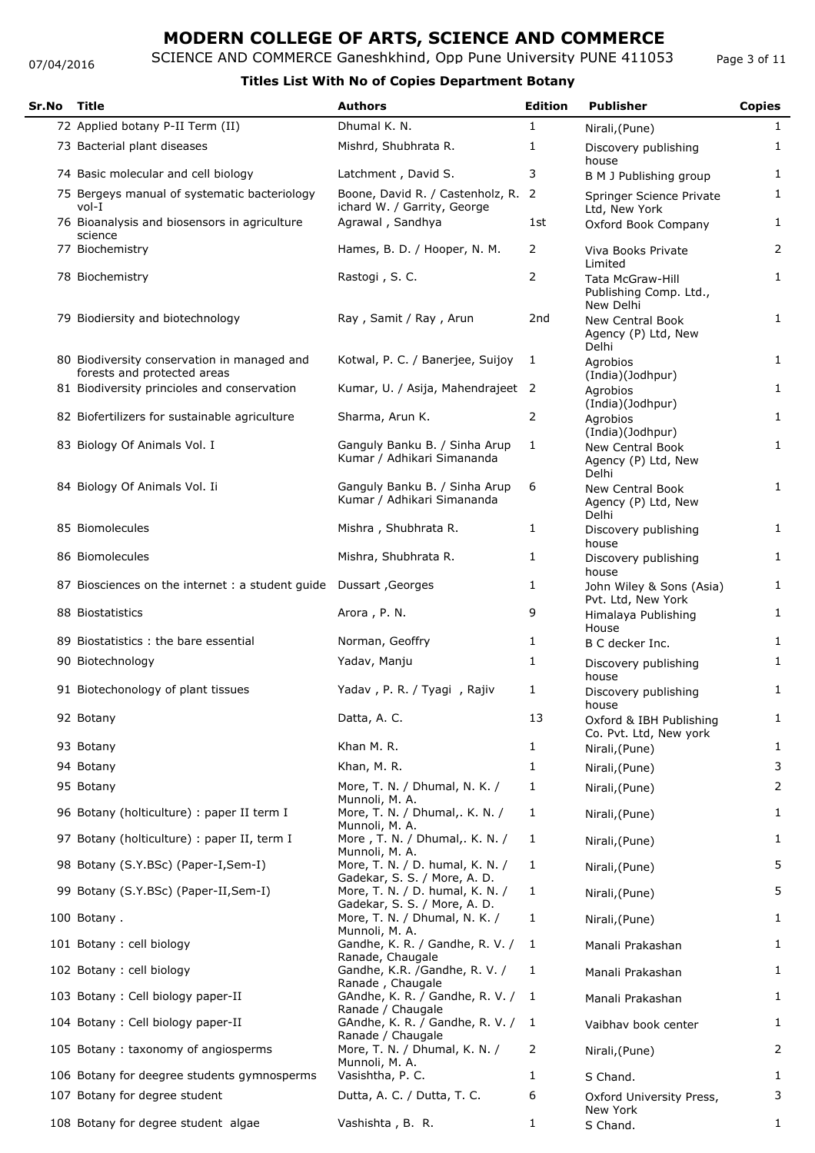#### 07/04/2016

# SCIENCE AND COMMERCE Ganeshkhind, Opp Pune University PUNE 411053

### **Titles List With No of Copies Department Botany**

| Sr.No | Title                                                                      | <b>Authors</b>                                                                        | <b>Edition</b> | <b>Publisher</b>                                               | <b>Copies</b>     |
|-------|----------------------------------------------------------------------------|---------------------------------------------------------------------------------------|----------------|----------------------------------------------------------------|-------------------|
|       | 72 Applied botany P-II Term (II)                                           | Dhumal K. N.                                                                          | 1              | Nirali, (Pune)                                                 | $\mathbf{1}$      |
|       | 73 Bacterial plant diseases                                                | Mishrd, Shubhrata R.                                                                  | 1              | Discovery publishing<br>house                                  | 1                 |
|       | 74 Basic molecular and cell biology                                        | Latchment, David S.                                                                   | 3              | B M J Publishing group                                         | 1                 |
|       | 75 Bergeys manual of systematic bacteriology<br>vol-I                      | Boone, David R. / Castenholz, R.<br>ichard W. / Garrity, George                       | 2              | Springer Science Private<br>Ltd, New York                      | 1                 |
|       | 76 Bioanalysis and biosensors in agriculture<br>science                    | Agrawal, Sandhya                                                                      | 1st            | Oxford Book Company                                            | 1                 |
|       | 77 Biochemistry                                                            | Hames, B. D. / Hooper, N. M.                                                          | 2              | Viva Books Private<br>Limited                                  | 2                 |
|       | 78 Biochemistry                                                            | Rastogi, S.C.                                                                         | 2              | <b>Tata McGraw-Hill</b><br>Publishing Comp. Ltd.,<br>New Delhi | $\mathbf{1}$      |
|       | 79 Biodiersity and biotechnology                                           | Ray, Samit / Ray, Arun                                                                | 2nd            | <b>New Central Book</b><br>Agency (P) Ltd, New<br>Delhi        | $\mathbf{1}$      |
|       | 80 Biodiversity conservation in managed and<br>forests and protected areas | Kotwal, P. C. / Banerjee, Suijoy                                                      | 1              | Agrobios<br>(India)(Jodhpur)                                   | 1                 |
|       | 81 Biodiversity princioles and conservation                                | Kumar, U. / Asija, Mahendrajeet 2                                                     |                | Agrobios<br>(India)(Jodhpur)                                   | $\mathbf{1}$      |
|       | 82 Biofertilizers for sustainable agriculture                              | Sharma, Arun K.                                                                       | 2              | Agrobios<br>(India)(Jodhpur)                                   | $\mathbf{1}$      |
|       | 83 Biology Of Animals Vol. I                                               | Ganguly Banku B. / Sinha Arup<br>Kumar / Adhikari Simananda                           | 1              | New Central Book<br>Agency (P) Ltd, New<br>Delhi               | $\mathbf{1}$      |
|       | 84 Biology Of Animals Vol. Ii                                              | Ganguly Banku B. / Sinha Arup<br>Kumar / Adhikari Simananda                           | 6              | <b>New Central Book</b><br>Agency (P) Ltd, New<br>Delhi        | 1                 |
|       | 85 Biomolecules                                                            | Mishra, Shubhrata R.                                                                  | 1              | Discovery publishing<br>house                                  | $\mathbf{1}$      |
|       | 86 Biomolecules                                                            | Mishra, Shubhrata R.                                                                  | 1              | Discovery publishing<br>house                                  | 1                 |
|       | 87 Biosciences on the internet : a student guide Dussart, Georges          |                                                                                       | 1              | John Wiley & Sons (Asia)<br>Pvt. Ltd, New York                 | 1                 |
|       | 88 Biostatistics                                                           | Arora, P. N.                                                                          | 9              | Himalaya Publishing<br>House                                   | $\mathbf{1}$      |
|       | 89 Biostatistics: the bare essential                                       | Norman, Geoffry                                                                       | 1              | B C decker Inc.                                                | 1                 |
|       | 90 Biotechnology                                                           | Yadav, Manju                                                                          | 1              | Discovery publishing<br>house                                  | 1                 |
|       | 91 Biotechonology of plant tissues                                         | Yadav, P. R. / Tyagi, Rajiv                                                           | 1              | Discovery publishing<br>house                                  | 1                 |
|       | 92 Botany                                                                  | Datta, A. C.                                                                          | 13             | Oxford & IBH Publishing<br>Co. Pvt. Ltd, New york              | $\mathbf{1}$      |
|       | 93 Botany                                                                  | Khan M.R.                                                                             | 1              | Nirali, (Pune)                                                 | $\mathbf{1}$      |
|       | 94 Botany                                                                  | Khan, M. R.                                                                           | 1              | Nirali, (Pune)                                                 | 3                 |
|       | 95 Botany                                                                  | More, T. N. / Dhumal, N. K. /<br>Munnoli, M. A.                                       | 1              | Nirali, (Pune)                                                 | 2                 |
|       | 96 Botany (holticulture) : paper II term I                                 | More, T. N. / Dhumal, K. N. /<br>Munnoli, M. A.                                       | 1              | Nirali, (Pune)                                                 | $\mathbf{1}$      |
|       | 97 Botany (holticulture) : paper II, term I                                | More, T. N. / Dhumal,. K. N. /<br>Munnoli, M. A.                                      | 1              | Nirali, (Pune)                                                 | $\mathbf{1}$      |
|       | 98 Botany (S.Y.BSc) (Paper-I,Sem-I)                                        | More, T. N. / D. humal, K. N. /<br>Gadekar, S. S. / More, A. D.                       | 1              | Nirali, (Pune)                                                 | 5                 |
|       | 99 Botany (S.Y.BSc) (Paper-II, Sem-I)                                      | More, T. N. / D. humal, K. N. /<br>Gadekar, S. S. / More, A. D.                       | 1              | Nirali, (Pune)                                                 | 5                 |
|       | 100 Botany.                                                                | More, T. N. / Dhumal, N. K. /<br>Munnoli, M. A.                                       | 1              | Nirali, (Pune)                                                 | 1                 |
|       | 101 Botany : cell biology                                                  | Gandhe, K. R. / Gandhe, R. V. /<br>Ranade, Chaugale                                   | 1              | Manali Prakashan                                               | $\mathbf{1}$      |
|       | 102 Botany : cell biology                                                  | Gandhe, K.R. /Gandhe, R. V. /<br>Ranade, Chaugale                                     | 1              | Manali Prakashan                                               | $\mathbf{1}$      |
|       | 103 Botany : Cell biology paper-II                                         | GAndhe, K. R. / Gandhe, R. V. /<br>Ranade / Chaugale                                  | -1             | Manali Prakashan                                               | $\mathbf{1}$      |
|       | 104 Botany: Cell biology paper-II                                          | GAndhe, K. R. / Gandhe, R. V. /<br>Ranade / Chaugale<br>More, T. N. / Dhumal, K. N. / | 1<br>2         | Vaibhav book center                                            | $\mathbf{1}$<br>2 |
|       | 105 Botany: taxonomy of angiosperms                                        | Munnoli, M. A.                                                                        |                | Nirali, (Pune)                                                 |                   |
|       | 106 Botany for deegree students gymnosperms                                | Vasishtha, P. C.                                                                      | 1              | S Chand.                                                       | 1                 |
|       | 107 Botany for degree student                                              | Dutta, A. C. / Dutta, T. C.                                                           | 6              | Oxford University Press,<br>New York                           | 3                 |
|       | 108 Botany for degree student algae                                        | Vashishta, B. R.                                                                      | 1              | S Chand.                                                       | $\mathbf{1}$      |

Page 3 of 11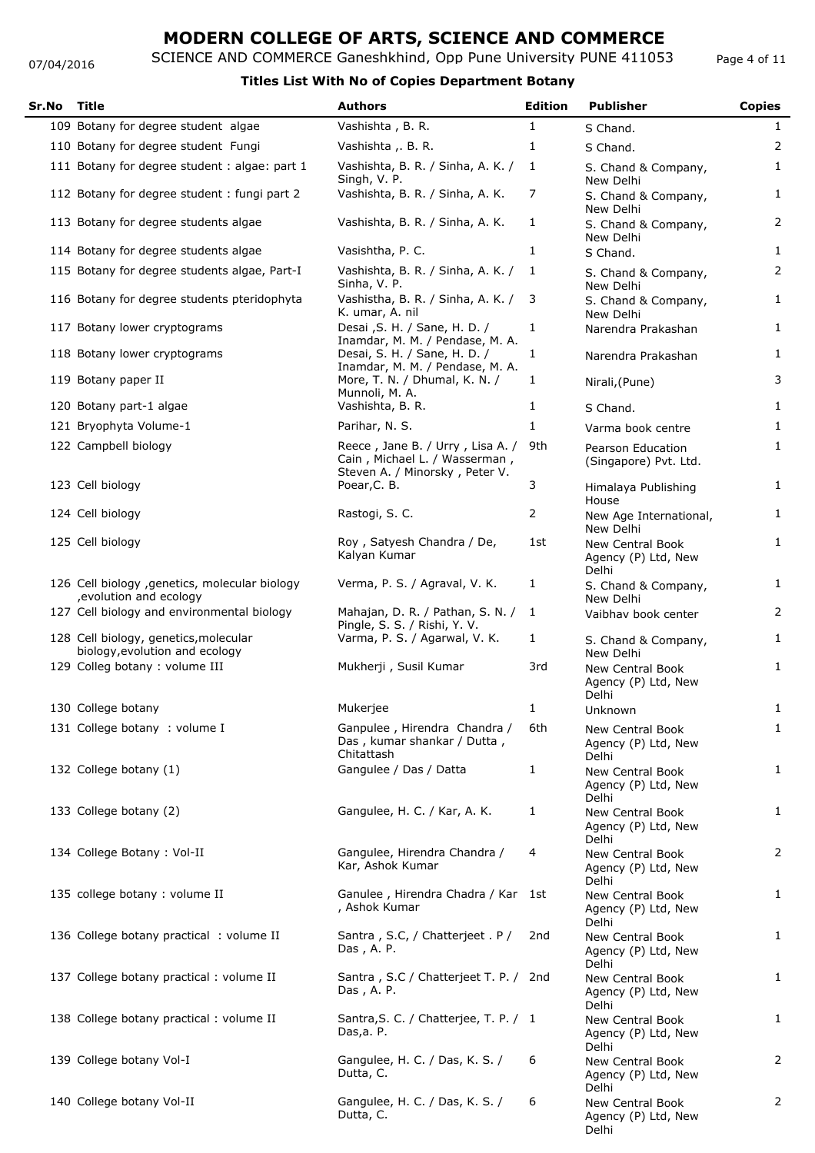### SCIENCE AND COMMERCE Ganeshkhind, Opp Pune University PUNE 411053 **MODERN COLLEGE OF ARTS, SCIENCE AND COMMERCE**

Page 4 of 11

#### 07/04/2016

| Sr.No | <b>Title</b>                                                              | <b>Authors</b>                                                                                      | <b>Edition</b> | <b>Publisher</b>                                        | <b>Copies</b>  |
|-------|---------------------------------------------------------------------------|-----------------------------------------------------------------------------------------------------|----------------|---------------------------------------------------------|----------------|
|       | 109 Botany for degree student algae                                       | Vashishta, B. R.                                                                                    | 1              | S Chand.                                                | $\mathbf{1}$   |
|       | 110 Botany for degree student Fungi                                       | Vashishta , B. R.                                                                                   | 1              | S Chand.                                                | 2              |
|       | 111 Botany for degree student : algae: part 1                             | Vashishta, B. R. / Sinha, A. K. /<br>Singh, V. P.                                                   | 1              | S. Chand & Company,<br>New Delhi                        | 1              |
|       | 112 Botany for degree student: fungi part 2                               | Vashishta, B. R. / Sinha, A. K.                                                                     | 7              | S. Chand & Company,<br>New Delhi                        | $\mathbf{1}$   |
|       | 113 Botany for degree students algae                                      | Vashishta, B. R. / Sinha, A. K.                                                                     | 1              | S. Chand & Company,<br>New Delhi                        | $\overline{2}$ |
|       | 114 Botany for degree students algae                                      | Vasishtha, P. C.                                                                                    | 1              | S Chand.                                                | $\mathbf{1}$   |
|       | 115 Botany for degree students algae, Part-I                              | Vashishta, B. R. / Sinha, A. K. /<br>Sinha, V. P.                                                   | 1              | S. Chand & Company,<br>New Delhi                        | $\overline{2}$ |
|       | 116 Botany for degree students pteridophyta                               | Vashistha, B. R. / Sinha, A. K. /<br>K. umar, A. nil                                                | 3              | S. Chand & Company,<br>New Delhi                        | 1              |
|       | 117 Botany lower cryptograms                                              | Desai , S. H. / Sane, H. D. /<br>Inamdar, M. M. / Pendase, M. A.                                    | $\mathbf{1}$   | Narendra Prakashan                                      | $\mathbf{1}$   |
|       | 118 Botany lower cryptograms                                              | Desai, S. H. / Sane, H. D. /<br>Inamdar, M. M. / Pendase, M. A.                                     | 1              | Narendra Prakashan                                      | 1              |
|       | 119 Botany paper II<br>120 Botany part-1 algae                            | More, T. N. / Dhumal, K. N. /<br>Munnoli, M. A.<br>Vashishta, B. R.                                 | 1<br>1         | Nirali, (Pune)                                          | 3<br>1         |
|       |                                                                           |                                                                                                     |                | S Chand.                                                |                |
|       | 121 Bryophyta Volume-1                                                    | Parihar, N. S.                                                                                      | $\mathbf{1}$   | Varma book centre                                       | $\mathbf{1}$   |
|       | 122 Campbell biology                                                      | Reece, Jane B. / Urry, Lisa A. /<br>Cain, Michael L. / Wasserman,<br>Steven A. / Minorsky, Peter V. | 9th            | Pearson Education<br>(Singapore) Pvt. Ltd.              | $\mathbf{1}$   |
|       | 123 Cell biology                                                          | Poear, C. B.                                                                                        | 3              | Himalaya Publishing<br>House                            | $\mathbf{1}$   |
|       | 124 Cell biology                                                          | Rastogi, S. C.                                                                                      | 2              | New Age International,<br>New Delhi                     | $\mathbf{1}$   |
|       | 125 Cell biology                                                          | Roy, Satyesh Chandra / De,<br>Kalyan Kumar                                                          | 1st            | <b>New Central Book</b><br>Agency (P) Ltd, New<br>Delhi | $\mathbf{1}$   |
|       | 126 Cell biology , genetics, molecular biology<br>, evolution and ecology | Verma, P. S. / Agraval, V. K.                                                                       | 1              | S. Chand & Company,<br>New Delhi                        | 1              |
|       | 127 Cell biology and environmental biology                                | Mahajan, D. R. / Pathan, S. N. /<br>Pingle, S. S. / Rishi, Y. V.                                    | 1              | Vaibhav book center                                     | $\overline{2}$ |
|       | 128 Cell biology, genetics, molecular<br>biology, evolution and ecology   | Varma, P. S. / Agarwal, V. K.                                                                       | $\mathbf{1}$   | S. Chand & Company,<br>New Delhi                        | $\mathbf{1}$   |
|       | 129 Colleg botany : volume III                                            | Mukherji, Susil Kumar                                                                               | 3rd            | New Central Book<br>Agency (P) Ltd, New<br>Delhi        | $\mathbf{1}$   |
|       | 130 College botany                                                        | Mukerjee                                                                                            | 1              | Unknown                                                 | 1              |
|       | 131 College botany : volume I                                             | Ganpulee, Hirendra Chandra /<br>Das, kumar shankar / Dutta,<br>Chitattash                           | 6th            | New Central Book<br>Agency (P) Ltd, New<br>Delhi        | $\mathbf{1}$   |
|       | 132 College botany (1)                                                    | Gangulee / Das / Datta                                                                              | $\mathbf{1}$   | <b>New Central Book</b><br>Agency (P) Ltd, New<br>Delhi | 1              |
|       | 133 College botany (2)                                                    | Gangulee, H. C. / Kar, A. K.                                                                        | 1              | <b>New Central Book</b><br>Agency (P) Ltd, New<br>Delhi | $\mathbf{1}$   |
|       | 134 College Botany: Vol-II                                                | Gangulee, Hirendra Chandra /<br>Kar, Ashok Kumar                                                    | 4              | <b>New Central Book</b><br>Agency (P) Ltd, New<br>Delhi | 2              |
|       | 135 college botany : volume II                                            | Ganulee, Hirendra Chadra / Kar 1st<br>, Ashok Kumar                                                 |                | <b>New Central Book</b><br>Agency (P) Ltd, New<br>Delhi | $\mathbf{1}$   |
|       | 136 College botany practical : volume II                                  | Santra, S.C, / Chatterjeet. P/<br>Das, A. P.                                                        | 2nd            | New Central Book<br>Agency (P) Ltd, New<br>Delhi        | 1              |
|       | 137 College botany practical: volume II                                   | Santra, S.C / Chatterjeet T. P. / 2nd<br>Das, A. P.                                                 |                | <b>New Central Book</b><br>Agency (P) Ltd, New<br>Delhi | 1              |
|       | 138 College botany practical: volume II                                   | Santra, S. C. / Chatterjee, T. P. / 1<br>Das, a. P.                                                 |                | New Central Book<br>Agency (P) Ltd, New<br>Delhi        | 1              |
|       | 139 College botany Vol-I                                                  | Gangulee, H. C. / Das, K. S. /<br>Dutta, C.                                                         | 6              | New Central Book<br>Agency (P) Ltd, New<br>Delhi        | 2              |
|       | 140 College botany Vol-II                                                 | Gangulee, H. C. / Das, K. S. /<br>Dutta, C.                                                         | 6              | <b>New Central Book</b><br>Agency (P) Ltd, New<br>Delhi | $\overline{2}$ |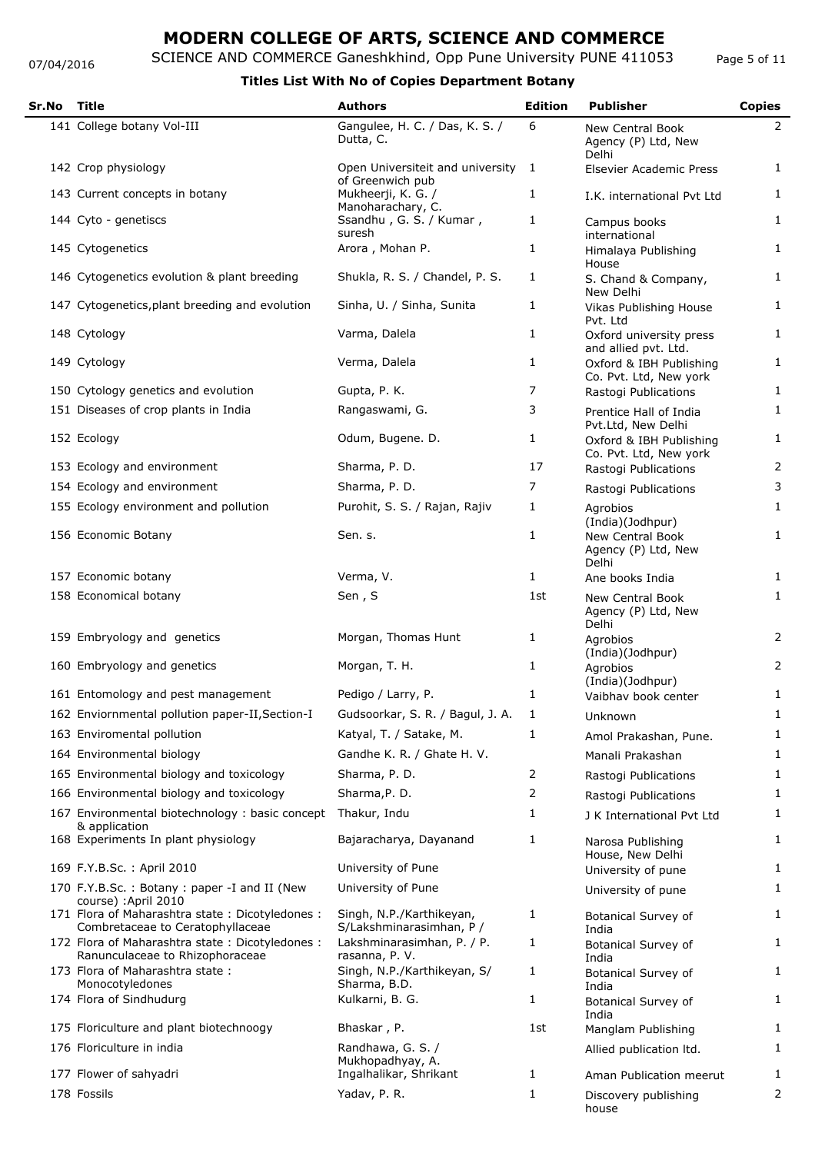07/04/2016

## SCIENCE AND COMMERCE Ganeshkhind, Opp Pune University PUNE 411053 **MODERN COLLEGE OF ARTS, SCIENCE AND COMMERCE**

### **Titles List With No of Copies Department Botany**

| Sr.No | <b>Title</b>                                                                       | <b>Authors</b>                                       | <b>Edition</b> | <b>Publisher</b>                                        | <b>Copies</b>  |
|-------|------------------------------------------------------------------------------------|------------------------------------------------------|----------------|---------------------------------------------------------|----------------|
|       | 141 College botany Vol-III                                                         | Gangulee, H. C. / Das, K. S. /<br>Dutta, C.          | 6              | New Central Book<br>Agency (P) Ltd, New<br>Delhi        | $\mathbf{2}$   |
|       | 142 Crop physiology                                                                | Open Universiteit and university<br>of Greenwich pub | 1              | Elsevier Academic Press                                 | $\mathbf{1}$   |
|       | 143 Current concepts in botany                                                     | Mukheerji, K. G. /<br>Manoharachary, C.              | $\mathbf{1}$   | I.K. international Pvt Ltd                              | $\mathbf{1}$   |
|       | 144 Cyto - genetiscs                                                               | Ssandhu, G. S. / Kumar,<br>suresh                    | 1              | Campus books<br>international                           | $\mathbf{1}$   |
|       | 145 Cytogenetics                                                                   | Arora, Mohan P.                                      | 1              | Himalaya Publishing                                     | $\mathbf{1}$   |
|       | 146 Cytogenetics evolution & plant breeding                                        | Shukla, R. S. / Chandel, P. S.                       | $\mathbf{1}$   | House<br>S. Chand & Company,<br>New Delhi               | $\mathbf{1}$   |
|       | 147 Cytogenetics, plant breeding and evolution                                     | Sinha, U. / Sinha, Sunita                            | $\mathbf{1}$   | Vikas Publishing House<br>Pvt. Ltd                      | $\mathbf{1}$   |
|       | 148 Cytology                                                                       | Varma, Dalela                                        | 1              | Oxford university press<br>and allied pvt. Ltd.         | $\mathbf{1}$   |
|       | 149 Cytology                                                                       | Verma, Dalela                                        | 1              | Oxford & IBH Publishing<br>Co. Pvt. Ltd, New york       | $\mathbf{1}$   |
|       | 150 Cytology genetics and evolution                                                | Gupta, P. K.                                         | 7              | Rastogi Publications                                    | $\mathbf{1}$   |
|       | 151 Diseases of crop plants in India                                               | Rangaswami, G.                                       | 3              | Prentice Hall of India<br>Pvt.Ltd, New Delhi            | $\mathbf{1}$   |
|       | 152 Ecology                                                                        | Odum, Bugene. D.                                     | 1              | Oxford & IBH Publishing<br>Co. Pvt. Ltd, New york       | $\mathbf{1}$   |
|       | 153 Ecology and environment                                                        | Sharma, P. D.                                        | 17             | Rastogi Publications                                    | $\overline{2}$ |
|       | 154 Ecology and environment                                                        | Sharma, P. D.                                        | 7              | Rastogi Publications                                    | 3              |
|       | 155 Ecology environment and pollution                                              | Purohit, S. S. / Rajan, Rajiv                        | 1              | Agrobios<br>(India)(Jodhpur)                            | $\mathbf{1}$   |
|       | 156 Economic Botany                                                                | Sen. s.                                              | $\mathbf{1}$   | <b>New Central Book</b><br>Agency (P) Ltd, New<br>Delhi | $\mathbf{1}$   |
|       | 157 Economic botany                                                                | Verma, V.                                            | $\mathbf{1}$   | Ane books India                                         | $\mathbf{1}$   |
|       | 158 Economical botany                                                              | Sen, S                                               | 1st            | <b>New Central Book</b><br>Agency (P) Ltd, New<br>Delhi | $\mathbf{1}$   |
|       | 159 Embryology and genetics                                                        | Morgan, Thomas Hunt                                  | 1              | Agrobios<br>(India)(Jodhpur)                            | 2              |
|       | 160 Embryology and genetics                                                        | Morgan, T. H.                                        | 1              | Agrobios<br>(India)(Jodhpur)                            | 2              |
|       | 161 Entomology and pest management                                                 | Pedigo / Larry, P.                                   | 1              | Vaibhav book center                                     | 1              |
|       | 162 Enviornmental pollution paper-II, Section-I                                    | Gudsoorkar, S. R. / Bagul, J. A.                     | 1              | Unknown                                                 | 1              |
|       | 163 Enviromental pollution                                                         | Katyal, T. / Satake, M.                              | 1              | Amol Prakashan, Pune.                                   | 1              |
|       | 164 Environmental biology                                                          | Gandhe K. R. / Ghate H. V.                           |                | Manali Prakashan                                        | 1              |
|       | 165 Environmental biology and toxicology                                           | Sharma, P. D.                                        | $\overline{2}$ | Rastogi Publications                                    | $\mathbf{1}$   |
|       | 166 Environmental biology and toxicology                                           | Sharma, P. D.                                        | 2              | Rastogi Publications                                    | $\mathbf{1}$   |
|       | 167 Environmental biotechnology : basic concept<br>& application                   | Thakur, Indu                                         | 1              | J K International Pvt Ltd                               | 1              |
|       | 168 Experiments In plant physiology                                                | Bajaracharya, Dayanand                               | 1              | Narosa Publishing<br>House, New Delhi                   | $\mathbf{1}$   |
|       | 169 F.Y.B.Sc.: April 2010                                                          | University of Pune                                   |                | University of pune                                      | $\mathbf{1}$   |
|       | 170 F.Y.B.Sc.: Botany: paper -I and II (New<br>course) : April 2010                | University of Pune                                   |                | University of pune                                      | $\mathbf{1}$   |
|       | 171 Flora of Maharashtra state: Dicotyledones:<br>Combretaceae to Ceratophyllaceae | Singh, N.P./Karthikeyan,<br>S/Lakshminarasimhan, P / | 1              | Botanical Survey of<br>India                            | 1              |
|       | 172 Flora of Maharashtra state: Dicotyledones:<br>Ranunculaceae to Rhizophoraceae  | Lakshminarasimhan, P. / P.<br>rasanna, P.V.          | 1              | Botanical Survey of<br>India                            | $\mathbf{1}$   |
|       | 173 Flora of Maharashtra state:<br>Monocotyledones                                 | Singh, N.P./Karthikeyan, S/<br>Sharma, B.D.          | $\mathbf{1}$   | Botanical Survey of<br>India                            | $\mathbf{1}$   |
|       | 174 Flora of Sindhudurg                                                            | Kulkarni, B. G.                                      | 1              | Botanical Survey of<br>India                            | $\mathbf{1}$   |
|       | 175 Floriculture and plant biotechnoogy                                            | Bhaskar, P.                                          | 1st            | Manglam Publishing                                      | $\mathbf{1}$   |
|       | 176 Floriculture in india                                                          | Randhawa, G. S. /<br>Mukhopadhyay, A.                |                | Allied publication Itd.                                 | $\mathbf{1}$   |
|       | 177 Flower of sahyadri                                                             | Ingalhalikar, Shrikant                               | 1              | Aman Publication meerut                                 | $\mathbf{1}$   |
|       | 178 Fossils                                                                        | Yadav, P. R.                                         | 1              | Discovery publishing<br>house                           | 2              |

Page 5 of 11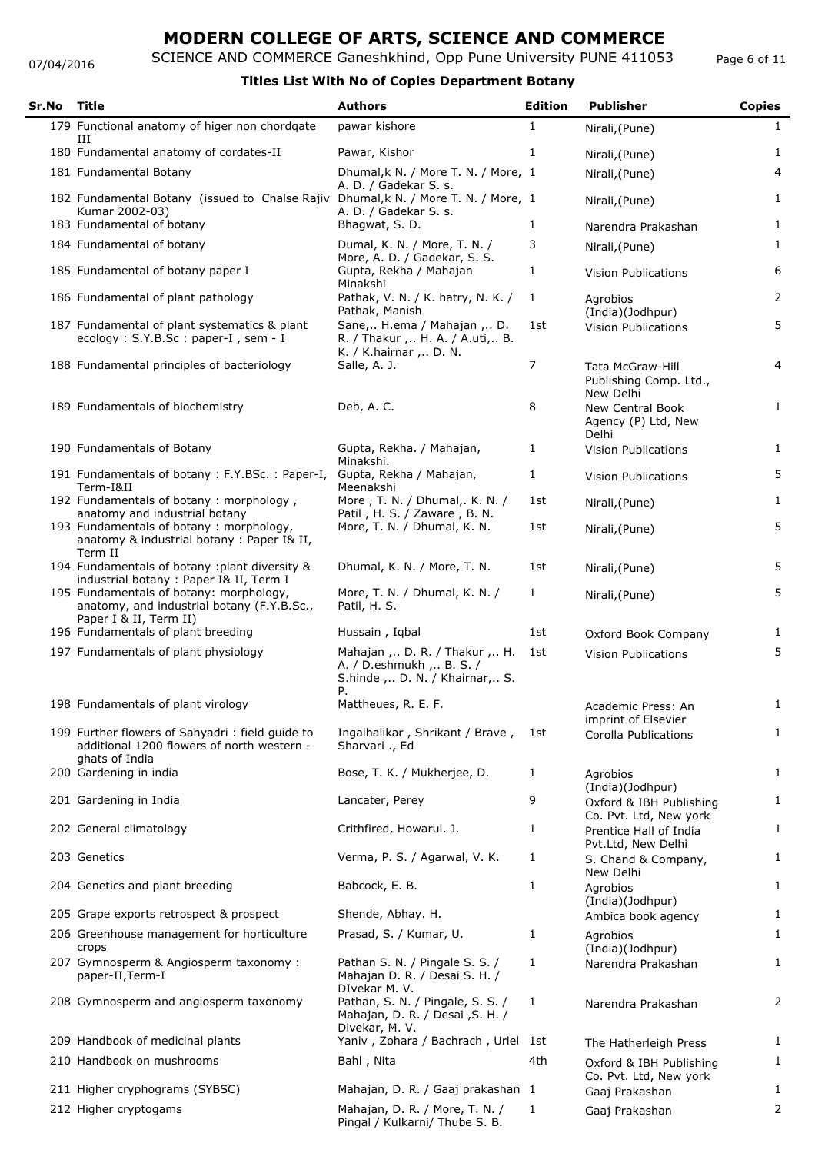#### 07/04/2016

## SCIENCE AND COMMERCE Ganeshkhind, Opp Pune University PUNE 411053

| Page 6 of 11 |
|--------------|
|--------------|

| Sr.No | <b>Title</b>                                                                                                    | <b>Authors</b>                                                                                         | <b>Edition</b> | <b>Publisher</b>                                        | <b>Copies</b>  |
|-------|-----------------------------------------------------------------------------------------------------------------|--------------------------------------------------------------------------------------------------------|----------------|---------------------------------------------------------|----------------|
|       | 179 Functional anatomy of higer non chordqate<br>Ш                                                              | pawar kishore                                                                                          | 1              | Nirali, (Pune)                                          | 1              |
|       | 180 Fundamental anatomy of cordates-II                                                                          | Pawar, Kishor                                                                                          | 1              | Nirali, (Pune)                                          | 1              |
|       | 181 Fundamental Botany                                                                                          | Dhumal, k N. / More T. N. / More, 1                                                                    |                | Nirali, (Pune)                                          | 4              |
|       | 182 Fundamental Botany (issued to Chalse Rajiv<br>Kumar 2002-03)                                                | A. D. / Gadekar S. s.<br>Dhumal, k N. / More T. N. / More, 1<br>A. D. / Gadekar S. s.                  |                | Nirali, (Pune)                                          | 1              |
|       | 183 Fundamental of botany                                                                                       | Bhagwat, S. D.                                                                                         | 1              | Narendra Prakashan                                      | 1              |
|       | 184 Fundamental of botany                                                                                       | Dumal, K. N. / More, T. N. /<br>More, A. D. / Gadekar, S. S.                                           | 3              | Nirali, (Pune)                                          | 1              |
|       | 185 Fundamental of botany paper I                                                                               | Gupta, Rekha / Mahajan<br>Minakshi                                                                     | 1              | <b>Vision Publications</b>                              | 6              |
|       | 186 Fundamental of plant pathology                                                                              | Pathak, V. N. / K. hatry, N. K. /<br>Pathak, Manish                                                    | 1              | Agrobios<br>(India)(Jodhpur)                            | 2              |
|       | 187 Fundamental of plant systematics & plant<br>ecology: S.Y.B.Sc: paper-I, sem - I                             | Sane, H.ema / Mahajan , D.<br>R. / Thakur ,  H. A. / A.uti,  B.<br>K. / K.hairnar , D. N.              | 1st            | <b>Vision Publications</b>                              | 5              |
|       | 188 Fundamental principles of bacteriology                                                                      | Salle, A. J.                                                                                           | 7              | Tata McGraw-Hill<br>Publishing Comp. Ltd.,<br>New Delhi | 4              |
|       | 189 Fundamentals of biochemistry                                                                                | Deb, A. C.                                                                                             | 8              | New Central Book<br>Agency (P) Ltd, New<br>Delhi        | 1              |
|       | 190 Fundamentals of Botany                                                                                      | Gupta, Rekha. / Mahajan,<br>Minakshi.                                                                  | 1              | <b>Vision Publications</b>                              | 1              |
|       | 191 Fundamentals of botany: F.Y.BSc.: Paper-I,<br>Term-I&II                                                     | Gupta, Rekha / Mahajan,<br>Meenakshi                                                                   | $\mathbf{1}$   | <b>Vision Publications</b>                              | 5              |
|       | 192 Fundamentals of botany : morphology,<br>anatomy and industrial botany                                       | More, T. N. / Dhumal,. K. N. /<br>Patil, H. S. / Zaware, B. N.                                         | 1st            | Nirali, (Pune)                                          | 1              |
|       | 193 Fundamentals of botany: morphology,<br>anatomy & industrial botany : Paper I& II,<br>Term II                | More, T. N. / Dhumal, K. N.                                                                            | 1st            | Nirali, (Pune)                                          | 5              |
|       | 194 Fundamentals of botany : plant diversity &<br>industrial botany : Paper I& II, Term I                       | Dhumal, K. N. / More, T. N.                                                                            | 1st            | Nirali, (Pune)                                          | 5              |
|       | 195 Fundamentals of botany: morphology,<br>anatomy, and industrial botany (F.Y.B.Sc.,<br>Paper I & II, Term II) | More, T. N. / Dhumal, K. N. /<br>Patil, H. S.                                                          | $\mathbf{1}$   | Nirali, (Pune)                                          | 5              |
|       | 196 Fundamentals of plant breeding                                                                              | Hussain, Igbal                                                                                         | 1st            | Oxford Book Company                                     | 1              |
|       | 197 Fundamentals of plant physiology                                                                            | Mahajan ,  D. R. / Thakur ,  H.<br>A. / D.eshmukh ,  B. S. /<br>S.hinde ,  D. N. / Khairnar,  S.<br>Ρ. | 1st            | <b>Vision Publications</b>                              | 5              |
|       | 198 Fundamentals of plant virology                                                                              | Mattheues, R. E. F.                                                                                    |                | Academic Press: An<br>imprint of Elsevier               |                |
|       | 199 Further flowers of Sahyadri: field guide to<br>additional 1200 flowers of north western -<br>ghats of India | Ingalhalikar, Shrikant / Brave,<br>Sharvari ., Ed                                                      | 1st            | Corolla Publications                                    | $\mathbf{1}$   |
|       | 200 Gardening in india                                                                                          | Bose, T. K. / Mukherjee, D.                                                                            | 1              | Agrobios                                                | $\mathbf{1}$   |
|       | 201 Gardening in India                                                                                          | Lancater, Perey                                                                                        | 9              | (India)(Jodhpur)<br>Oxford & IBH Publishing             | 1              |
|       | 202 General climatology                                                                                         | Crithfired, Howarul. J.                                                                                | 1              | Co. Pvt. Ltd, New york<br>Prentice Hall of India        | 1              |
|       | 203 Genetics                                                                                                    | Verma, P. S. / Agarwal, V. K.                                                                          | 1              | Pvt.Ltd, New Delhi<br>S. Chand & Company,               | 1              |
|       | 204 Genetics and plant breeding                                                                                 | Babcock, E. B.                                                                                         | 1              | New Delhi<br>Agrobios                                   | 1              |
|       | 205 Grape exports retrospect & prospect                                                                         | Shende, Abhay. H.                                                                                      |                | (India)(Jodhpur)<br>Ambica book agency                  | $\mathbf{1}$   |
|       | 206 Greenhouse management for horticulture                                                                      | Prasad, S. / Kumar, U.                                                                                 | 1              | Agrobios                                                | $\mathbf{1}$   |
|       | crops<br>207 Gymnosperm & Angiosperm taxonomy :<br>paper-II, Term-I                                             | Pathan S. N. / Pingale S. S. /<br>Mahajan D. R. / Desai S. H. /<br>DIvekar M.V.                        | 1              | (India)(Jodhpur)<br>Narendra Prakashan                  | $\mathbf{1}$   |
|       | 208 Gymnosperm and angiosperm taxonomy                                                                          | Pathan, S. N. / Pingale, S. S. /<br>Mahajan, D. R. / Desai , S. H. /<br>Divekar, M. V.                 | 1              | Narendra Prakashan                                      | $\overline{2}$ |
|       | 209 Handbook of medicinal plants                                                                                | Yaniv, Zohara / Bachrach, Uriel 1st                                                                    |                | The Hatherleigh Press                                   | 1              |
|       | 210 Handbook on mushrooms                                                                                       | Bahl, Nita                                                                                             | 4th            | Oxford & IBH Publishing<br>Co. Pvt. Ltd, New york       | $\mathbf{1}$   |
|       | 211 Higher cryphograms (SYBSC)                                                                                  | Mahajan, D. R. / Gaaj prakashan 1                                                                      |                | Gaaj Prakashan                                          | 1              |
|       | 212 Higher cryptogams                                                                                           | Mahajan, D. R. / More, T. N. /<br>Pingal / Kulkarni/ Thube S. B.                                       | 1              | Gaaj Prakashan                                          | 2              |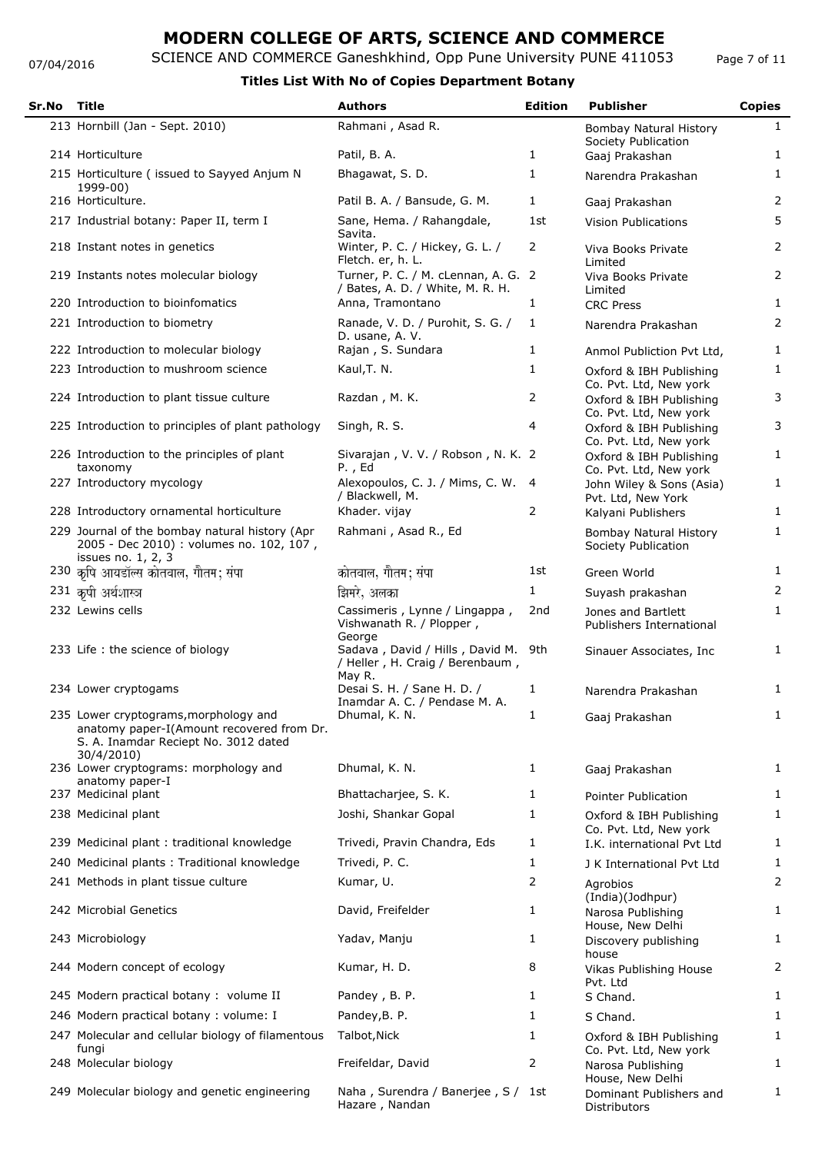07/04/2016

### SCIENCE AND COMMERCE Ganeshkhind, Opp Pune University PUNE 411053 **Titles List With No of Copies Department Botany**

| Sr.No | Title                                                                                                                                    | <b>Authors</b>                                                                             | <b>Edition</b> | <b>Publisher</b>                                  | <b>Copies</b>  |
|-------|------------------------------------------------------------------------------------------------------------------------------------------|--------------------------------------------------------------------------------------------|----------------|---------------------------------------------------|----------------|
|       | 213 Hornbill (Jan - Sept. 2010)                                                                                                          | Rahmani, Asad R.                                                                           |                | Bombay Natural History<br>Society Publication     | $\mathbf{1}$   |
|       | 214 Horticulture                                                                                                                         | Patil, B. A.                                                                               | 1              | Gaaj Prakashan                                    | 1              |
|       | 215 Horticulture ( issued to Sayyed Anjum N<br>1999-00)                                                                                  | Bhagawat, S.D.                                                                             | 1              | Narendra Prakashan                                | $\mathbf{1}$   |
|       | 216 Horticulture.                                                                                                                        | Patil B. A. / Bansude, G. M.                                                               | 1              | Gaaj Prakashan                                    | 2              |
|       | 217 Industrial botany: Paper II, term I                                                                                                  | Sane, Hema. / Rahangdale,<br>Savita.                                                       | 1st            | <b>Vision Publications</b>                        | 5              |
|       | 218 Instant notes in genetics                                                                                                            | Winter, P. C. / Hickey, G. L. /<br>Fletch. er, h. L.                                       | 2              | Viva Books Private<br>Limited                     | 2              |
|       | 219 Instants notes molecular biology                                                                                                     | Turner, P. C. / M. cLennan, A. G. 2<br>/ Bates, A. D. / White, M. R. H.                    |                | Viva Books Private<br>Limited                     | $\overline{2}$ |
|       | 220 Introduction to bioinfomatics                                                                                                        | Anna, Tramontano                                                                           | 1              | <b>CRC Press</b>                                  | $\mathbf{1}$   |
|       | 221 Introduction to biometry                                                                                                             | Ranade, V. D. / Purohit, S. G. /<br>D. usane, A. V.                                        | 1              | Narendra Prakashan                                | 2              |
|       | 222 Introduction to molecular biology                                                                                                    | Rajan, S. Sundara                                                                          | 1              | Anmol Publiction Pvt Ltd,                         | 1              |
|       | 223 Introduction to mushroom science                                                                                                     | Kaul, T. N.                                                                                | 1              | Oxford & IBH Publishing<br>Co. Pvt. Ltd, New york | $\mathbf{1}$   |
|       | 224 Introduction to plant tissue culture                                                                                                 | Razdan, M. K.                                                                              | 2              | Oxford & IBH Publishing<br>Co. Pvt. Ltd, New york | 3              |
|       | 225 Introduction to principles of plant pathology                                                                                        | Singh, R. S.                                                                               | 4              | Oxford & IBH Publishing<br>Co. Pvt. Ltd, New york | 3              |
|       | 226 Introduction to the principles of plant<br>taxonomy                                                                                  | Sivarajan, V. V. / Robson, N. K. 2<br>P., Ed                                               |                | Oxford & IBH Publishing<br>Co. Pvt. Ltd, New york | $\mathbf{1}$   |
|       | 227 Introductory mycology                                                                                                                | Alexopoulos, C. J. / Mims, C. W. 4<br>/ Blackwell, M.                                      |                | John Wiley & Sons (Asia)<br>Pvt. Ltd, New York    | 1              |
|       | 228 Introductory ornamental horticulture                                                                                                 | Khader. vijay                                                                              | 2              | Kalyani Publishers                                | 1              |
|       | 229 Journal of the bombay natural history (Apr<br>2005 - Dec 2010) : volumes no. 102, 107,<br>issues no. 1, 2, 3                         | Rahmani, Asad R., Ed                                                                       |                | Bombay Natural History<br>Society Publication     | 1              |
|       | 230 कृषि आयडॉल्स कोतवाल, गौतम; संपा                                                                                                      | कोतवाल, गौतम; संपा                                                                         | 1st            | Green World                                       | $\mathbf{1}$   |
|       | 231 कृषी अर्थशास्त्र                                                                                                                     | झिमरे, अलका                                                                                | 1              | Suyash prakashan                                  | $\overline{2}$ |
|       | 232 Lewins cells                                                                                                                         | Cassimeris, Lynne / Lingappa,<br>Vishwanath R. / Plopper,                                  | 2nd            | Jones and Bartlett<br>Publishers International    | $\mathbf{1}$   |
|       | 233 Life: the science of biology                                                                                                         | George<br>Sadava, David / Hills, David M. 9th<br>/ Heller, H. Craig / Berenbaum,<br>May R. |                | Sinauer Associates, Inc.                          | 1              |
|       | 234 Lower cryptogams                                                                                                                     | Desai S. H. / Sane H. D. /<br>Inamdar A. C. / Pendase M. A.                                | 1              | Narendra Prakashan                                | $\mathbf{1}$   |
|       | 235 Lower cryptograms, morphology and<br>anatomy paper-I(Amount recovered from Dr.<br>S. A. Inamdar Reciept No. 3012 dated<br>30/4/2010) | Dhumal, K. N.                                                                              | 1              | Gaaj Prakashan                                    | $\mathbf{1}$   |
|       | 236 Lower cryptograms: morphology and<br>anatomy paper-I                                                                                 | Dhumal, K. N.                                                                              | 1              | Gaaj Prakashan                                    | $\mathbf{1}$   |
|       | 237 Medicinal plant                                                                                                                      | Bhattacharjee, S. K.                                                                       | 1              | Pointer Publication                               | $\mathbf{1}$   |
|       | 238 Medicinal plant                                                                                                                      | Joshi, Shankar Gopal                                                                       | $\mathbf{1}$   | Oxford & IBH Publishing<br>Co. Pvt. Ltd, New york | $\mathbf{1}$   |
|       | 239 Medicinal plant : traditional knowledge                                                                                              | Trivedi, Pravin Chandra, Eds                                                               | 1              | I.K. international Pvt Ltd                        | 1              |
|       | 240 Medicinal plants : Traditional knowledge                                                                                             | Trivedi, P. C.                                                                             | $\mathbf{1}$   | J K International Pvt Ltd                         | 1              |
|       | 241 Methods in plant tissue culture                                                                                                      | Kumar, U.                                                                                  | 2              | Agrobios<br>(India)(Jodhpur)                      | 2              |
|       | 242 Microbial Genetics                                                                                                                   | David, Freifelder                                                                          | $\mathbf{1}$   | Narosa Publishing<br>House, New Delhi             | $\mathbf{1}$   |
|       | 243 Microbiology                                                                                                                         | Yadav, Manju                                                                               | 1              | Discovery publishing<br>house                     | $\mathbf{1}$   |
|       | 244 Modern concept of ecology                                                                                                            | Kumar, H. D.                                                                               | 8              | Vikas Publishing House<br>Pvt. Ltd                | 2              |
|       | 245 Modern practical botany : volume II                                                                                                  | Pandey, B. P.                                                                              | 1              | S Chand.                                          | $\mathbf{1}$   |
|       | 246 Modern practical botany: volume: I                                                                                                   | Pandey, B. P.                                                                              | 1              | S Chand.                                          | 1              |
|       | 247 Molecular and cellular biology of filamentous<br>fungi                                                                               | Talbot, Nick                                                                               | 1              | Oxford & IBH Publishing<br>Co. Pvt. Ltd, New york | 1              |
|       | 248 Molecular biology                                                                                                                    | Freifeldar, David                                                                          | 2              | Narosa Publishing<br>House, New Delhi             | 1              |
|       | 249 Molecular biology and genetic engineering                                                                                            | Naha, Surendra / Banerjee, S / 1st<br>Hazare, Nandan                                       |                | Dominant Publishers and<br><b>Distributors</b>    | $\mathbf{1}$   |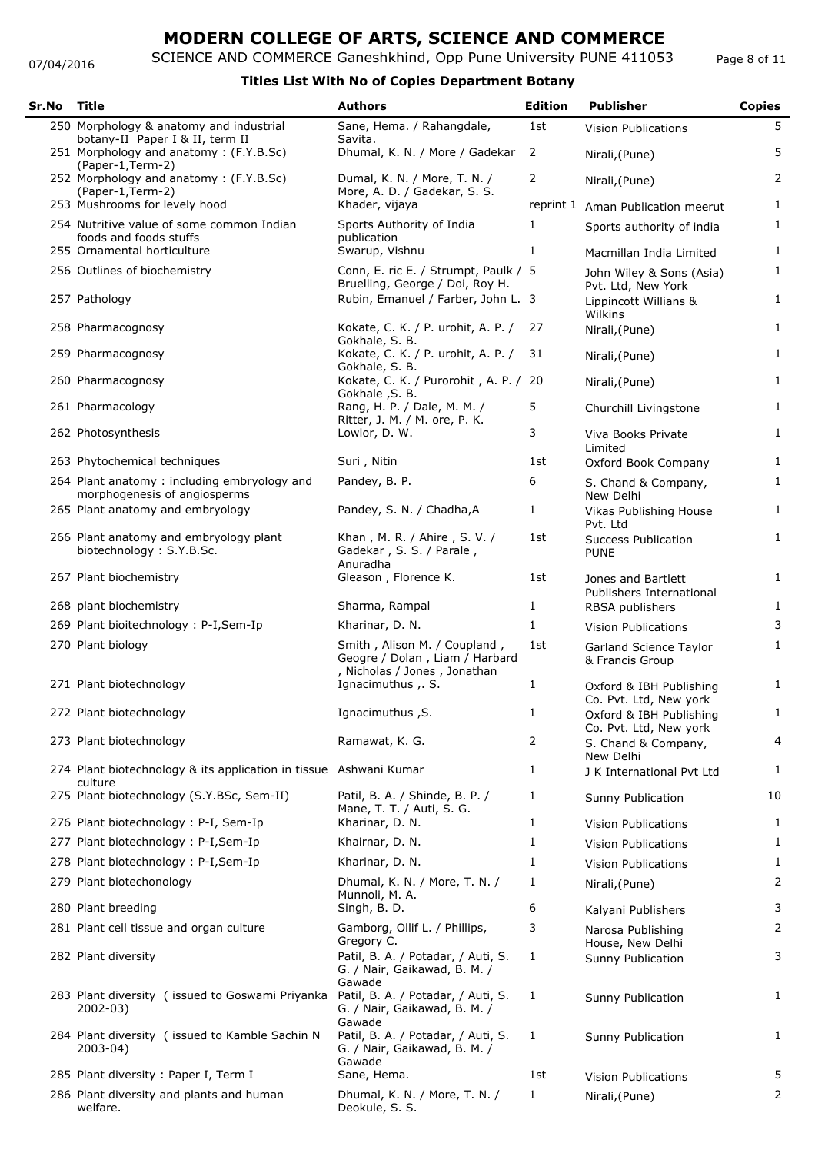#### 07/04/2016

## SCIENCE AND COMMERCE Ganeshkhind, Opp Pune University PUNE 411053

Page 8 of 11

| Sr.No | Title                                                                       | <b>Authors</b>                                                                                 | <b>Edition</b> | <b>Publisher</b>                                  | <b>Copies</b>  |
|-------|-----------------------------------------------------------------------------|------------------------------------------------------------------------------------------------|----------------|---------------------------------------------------|----------------|
|       | 250 Morphology & anatomy and industrial<br>botany-II Paper I & II, term II  | Sane, Hema. / Rahangdale,<br>Savita.                                                           | 1st            | <b>Vision Publications</b>                        | 5              |
|       | 251 Morphology and anatomy: (F.Y.B.Sc)<br>(Paper-1, Term-2)                 | Dhumal, K. N. / More / Gadekar                                                                 | $\overline{2}$ | Nirali, (Pune)                                    | 5              |
|       | 252 Morphology and anatomy: (F.Y.B.Sc)<br>(Paper-1, Term-2)                 | Dumal, K. N. / More, T. N. /<br>More, A. D. / Gadekar, S. S.                                   | 2              | Nirali, (Pune)                                    | $\overline{2}$ |
|       | 253 Mushrooms for levely hood                                               | Khader, vijaya                                                                                 |                | reprint 1 Aman Publication meerut                 | 1              |
|       | 254 Nutritive value of some common Indian<br>foods and foods stuffs         | Sports Authority of India<br>publication                                                       | 1              | Sports authority of india                         | $\mathbf{1}$   |
|       | 255 Ornamental horticulture                                                 | Swarup, Vishnu                                                                                 | 1              | Macmillan India Limited                           | $\mathbf{1}$   |
|       | 256 Outlines of biochemistry                                                | Conn, E. ric E. / Strumpt, Paulk / 5<br>Bruelling, George / Doi, Roy H.                        |                | John Wiley & Sons (Asia)<br>Pvt. Ltd, New York    | $\mathbf{1}$   |
|       | 257 Pathology                                                               | Rubin, Emanuel / Farber, John L. 3                                                             |                | Lippincott Willians &<br>Wilkins                  | $\mathbf{1}$   |
|       | 258 Pharmacognosy                                                           | Kokate, C. K. / P. urohit, A. P. /<br>Gokhale, S. B.                                           | 27             | Nirali, (Pune)                                    | $\mathbf{1}$   |
|       | 259 Pharmacognosy                                                           | Kokate, C. K. / P. urohit, A. P. /<br>Gokhale, S. B.                                           | 31             | Nirali, (Pune)                                    | 1              |
|       | 260 Pharmacognosy                                                           | Kokate, C. K. / Purorohit, A. P. / 20<br>Gokhale , S. B.                                       |                | Nirali, (Pune)                                    | $\mathbf{1}$   |
|       | 261 Pharmacology                                                            | Rang, H. P. / Dale, M. M. /<br>Ritter, J. M. / M. ore, P. K.                                   | 5              | Churchill Livingstone                             | $\mathbf{1}$   |
|       | 262 Photosynthesis                                                          | Lowlor, D. W.                                                                                  | 3              | Viva Books Private<br>Limited                     | $\mathbf{1}$   |
|       | 263 Phytochemical techniques                                                | Suri, Nitin                                                                                    | 1st            | Oxford Book Company                               | 1              |
|       | 264 Plant anatomy: including embryology and<br>morphogenesis of angiosperms | Pandey, B. P.                                                                                  | 6              | S. Chand & Company,<br>New Delhi                  | 1              |
|       | 265 Plant anatomy and embryology                                            | Pandey, S. N. / Chadha, A                                                                      | 1              | Vikas Publishing House<br>Pvt. Ltd                | 1              |
|       | 266 Plant anatomy and embryology plant<br>biotechnology: S.Y.B.Sc.          | Khan, M. R. / Ahire, S. V. /<br>Gadekar, S. S. / Parale,                                       | 1st            | <b>Success Publication</b><br><b>PUNE</b>         | $\mathbf{1}$   |
|       | 267 Plant biochemistry                                                      | Anuradha<br>Gleason, Florence K.                                                               | 1st            | Jones and Bartlett<br>Publishers International    | $\mathbf{1}$   |
|       | 268 plant biochemistry                                                      | Sharma, Rampal                                                                                 | 1              | RBSA publishers                                   | 1              |
|       | 269 Plant bioitechnology: P-I, Sem-Ip                                       | Kharinar, D. N.                                                                                | 1              | <b>Vision Publications</b>                        | 3              |
|       | 270 Plant biology                                                           | Smith, Alison M. / Coupland,<br>Geogre / Dolan, Liam / Harbard<br>, Nicholas / Jones, Jonathan | 1st            | Garland Science Taylor<br>& Francis Group         | $\mathbf{1}$   |
|       | 271 Plant biotechnology                                                     | Ignacimuthus , . S.                                                                            | 1              | Oxford & IBH Publishing<br>Co. Pvt. Ltd, New york | $\mathbf{1}$   |
|       | 272 Plant biotechnology                                                     | Ignacimuthus, S.                                                                               | $\mathbf{1}$   | Oxford & IBH Publishing<br>Co. Pvt. Ltd, New york | $\mathbf{1}$   |
|       | 273 Plant biotechnology                                                     | Ramawat, K. G.                                                                                 | 2              | S. Chand & Company,<br>New Delhi                  | 4              |
|       | 274 Plant biotechnology & its application in tissue Ashwani Kumar           |                                                                                                | 1              | J K International Pvt Ltd                         | $\mathbf{1}$   |
|       | culture<br>275 Plant biotechnology (S.Y.BSc, Sem-II)                        | Patil, B. A. / Shinde, B. P. /<br>Mane, T. T. / Auti, S. G.                                    | 1              | Sunny Publication                                 | 10             |
|       | 276 Plant biotechnology: P-I, Sem-Ip                                        | Kharinar, D. N.                                                                                | 1              | <b>Vision Publications</b>                        | 1              |
|       | 277 Plant biotechnology : P-I, Sem-Ip                                       | Khairnar, D. N.                                                                                | 1              | <b>Vision Publications</b>                        | 1              |
|       | 278 Plant biotechnology : P-I, Sem-Ip                                       | Kharinar, D. N.                                                                                | 1              | <b>Vision Publications</b>                        | 1              |
|       | 279 Plant biotechonology                                                    | Dhumal, K. N. / More, T. N. /<br>Munnoli, M. A.                                                | 1              | Nirali, (Pune)                                    | 2              |
|       | 280 Plant breeding                                                          | Singh, B. D.                                                                                   | 6              | Kalyani Publishers                                | 3              |
|       | 281 Plant cell tissue and organ culture                                     | Gamborg, Ollif L. / Phillips,<br>Gregory C.                                                    | 3              | Narosa Publishing<br>House, New Delhi             | $\overline{2}$ |
|       | 282 Plant diversity                                                         | Patil, B. A. / Potadar, / Auti, S.<br>G. / Nair, Gaikawad, B. M. /<br>Gawade                   | 1              | Sunny Publication                                 | 3              |
|       | 283 Plant diversity (issued to Goswami Priyanka<br>$2002 - 03$              | Patil, B. A. / Potadar, / Auti, S.<br>G. / Nair, Gaikawad, B. M. /<br>Gawade                   | 1              | Sunny Publication                                 | $\mathbf{1}$   |
|       | 284 Plant diversity (issued to Kamble Sachin N<br>2003-04)                  | Patil, B. A. / Potadar, / Auti, S.<br>G. / Nair, Gaikawad, B. M. /<br>Gawade                   | 1              | Sunny Publication                                 | 1              |
|       | 285 Plant diversity: Paper I, Term I                                        | Sane, Hema.                                                                                    | 1st            | Vision Publications                               | 5              |
|       | 286 Plant diversity and plants and human<br>welfare.                        | Dhumal, K. N. / More, T. N. /<br>Deokule, S. S.                                                | 1              | Nirali, (Pune)                                    | $\overline{2}$ |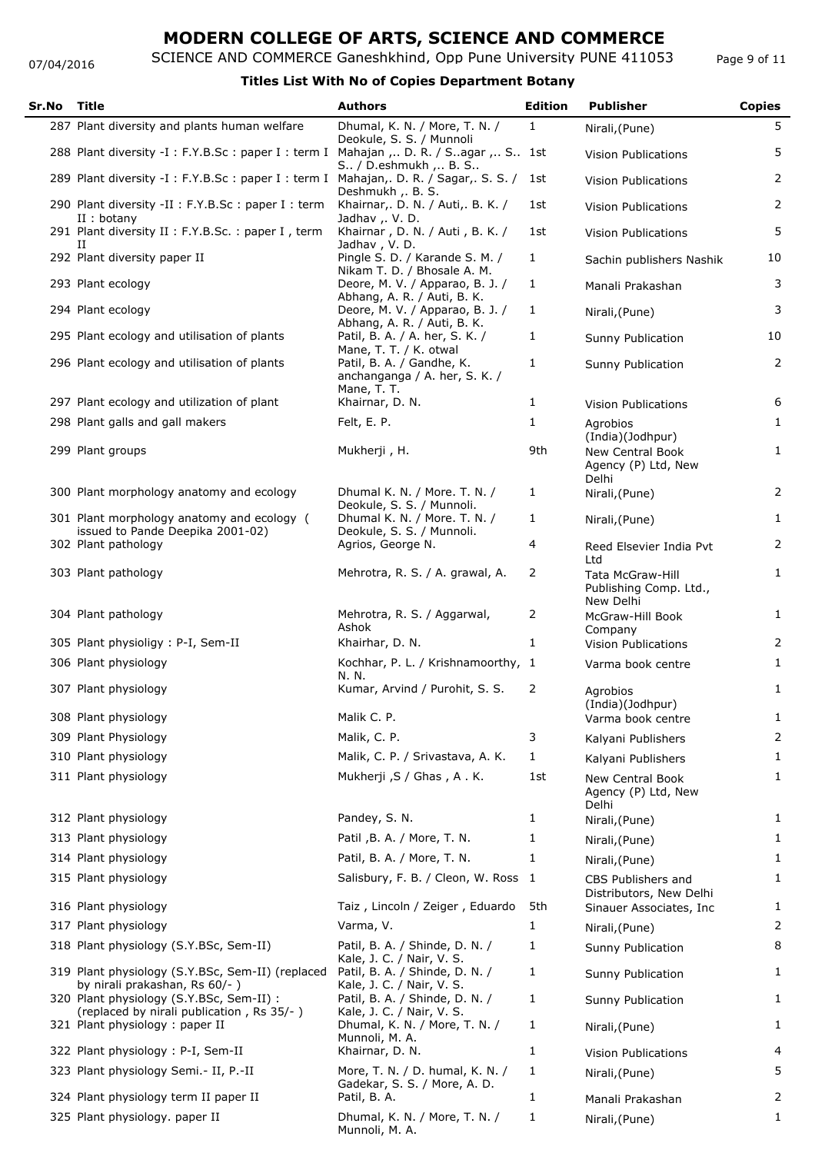07/04/2016

SCIENCE AND COMMERCE Ganeshkhind, Opp Pune University PUNE 411053

Page 9 of 11

| Sr.No | Title                                                                                 | <b>Authors</b>                                                                         | <b>Edition</b> | <b>Publisher</b>                                                            | <b>Copies</b>  |
|-------|---------------------------------------------------------------------------------------|----------------------------------------------------------------------------------------|----------------|-----------------------------------------------------------------------------|----------------|
|       | 287 Plant diversity and plants human welfare                                          | Dhumal, K. N. / More, T. N. /<br>Deokule, S. S. / Munnoli                              | $\mathbf{1}$   | Nirali, (Pune)                                                              | 5              |
|       | 288 Plant diversity -I : F.Y.B.Sc : paper I : term I                                  | Mahajan ,  D. R. / S. agar ,  S 1st<br>S / D.eshmukh ,  B. S                           |                | <b>Vision Publications</b>                                                  | 5              |
|       | 289 Plant diversity -I: F.Y.B.Sc: paper I: term I Mahajan,. D. R. / Sagar,. S. S. /   | Deshmukh , B. S.                                                                       | 1st            | <b>Vision Publications</b>                                                  | 2              |
|       | 290 Plant diversity -II : F.Y.B.Sc : paper I : term                                   | Khairnar, D. N. / Auti, B. K. /                                                        | 1st            | <b>Vision Publications</b>                                                  | 2              |
|       | $II:$ botany<br>291 Plant diversity II : F.Y.B.Sc. : paper I, term<br>и               | Jadhav ,. V. D.<br>Khairnar, D. N. / Auti, B. K. /<br>Jadhav, V.D.                     | 1st            | <b>Vision Publications</b>                                                  | 5              |
|       | 292 Plant diversity paper II                                                          | Pingle S. D. / Karande S. M. /<br>Nikam T. D. / Bhosale A. M.                          | $\mathbf{1}$   | Sachin publishers Nashik                                                    | 10             |
|       | 293 Plant ecology                                                                     | Deore, M. V. / Apparao, B. J. /<br>Abhang, A. R. / Auti, B. K.                         | $\mathbf{1}$   | Manali Prakashan                                                            | 3              |
|       | 294 Plant ecology                                                                     | Deore, M. V. / Apparao, B. J. /<br>Abhang, A. R. / Auti, B. K.                         | 1              | Nirali, (Pune)                                                              | 3              |
|       | 295 Plant ecology and utilisation of plants                                           | Patil, B. A. / A. her, S. K. /<br>Mane, T. T. / K. otwal                               | 1              | Sunny Publication                                                           | 10             |
|       | 296 Plant ecology and utilisation of plants                                           | Patil, B. A. / Gandhe, K.<br>anchanganga / A. her, S. K. /<br>Mane, T. T.              | 1              | Sunny Publication                                                           | 2              |
|       | 297 Plant ecology and utilization of plant                                            | Khairnar, D. N.                                                                        | 1              | <b>Vision Publications</b>                                                  | 6              |
|       | 298 Plant galls and gall makers                                                       | Felt, E. P.                                                                            | $\mathbf{1}$   | Agrobios                                                                    | $\mathbf{1}$   |
|       | 299 Plant groups                                                                      | Mukherji, H.                                                                           | 9th            | (India)(Jodhpur)<br><b>New Central Book</b><br>Agency (P) Ltd, New<br>Delhi | $\mathbf{1}$   |
|       | 300 Plant morphology anatomy and ecology                                              | Dhumal K. N. / More. T. N. /                                                           | $\mathbf{1}$   | Nirali, (Pune)                                                              | $\overline{2}$ |
|       | 301 Plant morphology anatomy and ecology (<br>issued to Pande Deepika 2001-02)        | Deokule, S. S. / Munnoli.<br>Dhumal K. N. / More. T. N. /<br>Deokule, S. S. / Munnoli. | $\mathbf{1}$   | Nirali, (Pune)                                                              | $\mathbf{1}$   |
|       | 302 Plant pathology                                                                   | Agrios, George N.                                                                      | 4              | Reed Elsevier India Pvt                                                     | $\overline{2}$ |
|       | 303 Plant pathology                                                                   | Mehrotra, R. S. / A. grawal, A.                                                        | 2              | Ltd<br><b>Tata McGraw-Hill</b><br>Publishing Comp. Ltd.,<br>New Delhi       | $\mathbf{1}$   |
|       | 304 Plant pathology                                                                   | Mehrotra, R. S. / Aggarwal,<br>Ashok                                                   | 2              | McGraw-Hill Book<br>Company                                                 | $\mathbf{1}$   |
|       | 305 Plant physioligy : P-I, Sem-II                                                    | Khairhar, D. N.                                                                        | 1              | <b>Vision Publications</b>                                                  | 2              |
|       | 306 Plant physiology                                                                  | Kochhar, P. L. / Krishnamoorthy, 1<br>N.N.                                             |                | Varma book centre                                                           | $\mathbf{1}$   |
|       | 307 Plant physiology                                                                  | Kumar, Arvind / Purohit, S. S.                                                         | 2              | Agrobios<br>(India)(Jodhpur)                                                | 1              |
|       | 308 Plant physiology                                                                  | Malik C. P.                                                                            |                | Varma book centre                                                           | 1              |
|       | 309 Plant Physiology                                                                  | Malik, C. P.                                                                           | 3              | Kalyani Publishers                                                          | 2              |
|       | 310 Plant physiology                                                                  | Malik, C. P. / Srivastava, A. K.                                                       | 1              | Kalyani Publishers                                                          | 1              |
|       | 311 Plant physiology                                                                  | Mukherji , S / Ghas , A . K.                                                           | 1st            | <b>New Central Book</b><br>Agency (P) Ltd, New<br>Delhi                     | 1              |
|       | 312 Plant physiology                                                                  | Pandey, S. N.                                                                          | 1              | Nirali, (Pune)                                                              | 1              |
|       | 313 Plant physiology                                                                  | Patil , B. A. / More, T. N.                                                            | 1              | Nirali, (Pune)                                                              | 1              |
|       | 314 Plant physiology                                                                  | Patil, B. A. / More, T. N.                                                             | 1              | Nirali, (Pune)                                                              | 1              |
|       | 315 Plant physiology                                                                  | Salisbury, F. B. / Cleon, W. Ross                                                      | $\mathbf{1}$   | CBS Publishers and<br>Distributors, New Delhi                               | 1              |
|       | 316 Plant physiology                                                                  | Taiz, Lincoln / Zeiger, Eduardo                                                        | 5th            | Sinauer Associates, Inc.                                                    | 1              |
|       | 317 Plant physiology                                                                  | Varma, V.                                                                              | $\mathbf{1}$   | Nirali, (Pune)                                                              | 2              |
|       | 318 Plant physiology (S.Y.BSc, Sem-II)                                                | Patil, B. A. / Shinde, D. N. /<br>Kale, J. C. / Nair, V. S.                            | 1              | Sunny Publication                                                           | 8              |
|       | 319 Plant physiology (S.Y.BSc, Sem-II) (replaced<br>by nirali prakashan, Rs 60/-)     | Patil, B. A. / Shinde, D. N. /<br>Kale, J. C. / Nair, V. S.                            | 1              | Sunny Publication                                                           | 1              |
|       | 320 Plant physiology (S.Y.BSc, Sem-II) :<br>(replaced by nirali publication, Rs 35/-) | Patil, B. A. / Shinde, D. N. /<br>Kale, J. C. / Nair, V. S.                            | 1              | Sunny Publication                                                           | 1              |
|       | 321 Plant physiology: paper II                                                        | Dhumal, K. N. / More, T. N. /<br>Munnoli, M. A.                                        | 1              | Nirali, (Pune)                                                              | 1              |
|       | 322 Plant physiology : P-I, Sem-II                                                    | Khairnar, D. N.                                                                        | 1              | <b>Vision Publications</b>                                                  | 4              |
|       | 323 Plant physiology Semi. - II, P.-II                                                | More, T. N. / D. humal, K. N. /<br>Gadekar, S. S. / More, A. D.                        | 1              | Nirali, (Pune)                                                              | 5              |
|       | 324 Plant physiology term II paper II                                                 | Patil, B. A.                                                                           | $\mathbf{1}$   | Manali Prakashan                                                            | 2              |
|       | 325 Plant physiology. paper II                                                        | Dhumal, K. N. / More, T. N. /<br>Munnoli, M. A.                                        | 1              | Nirali, (Pune)                                                              | 1              |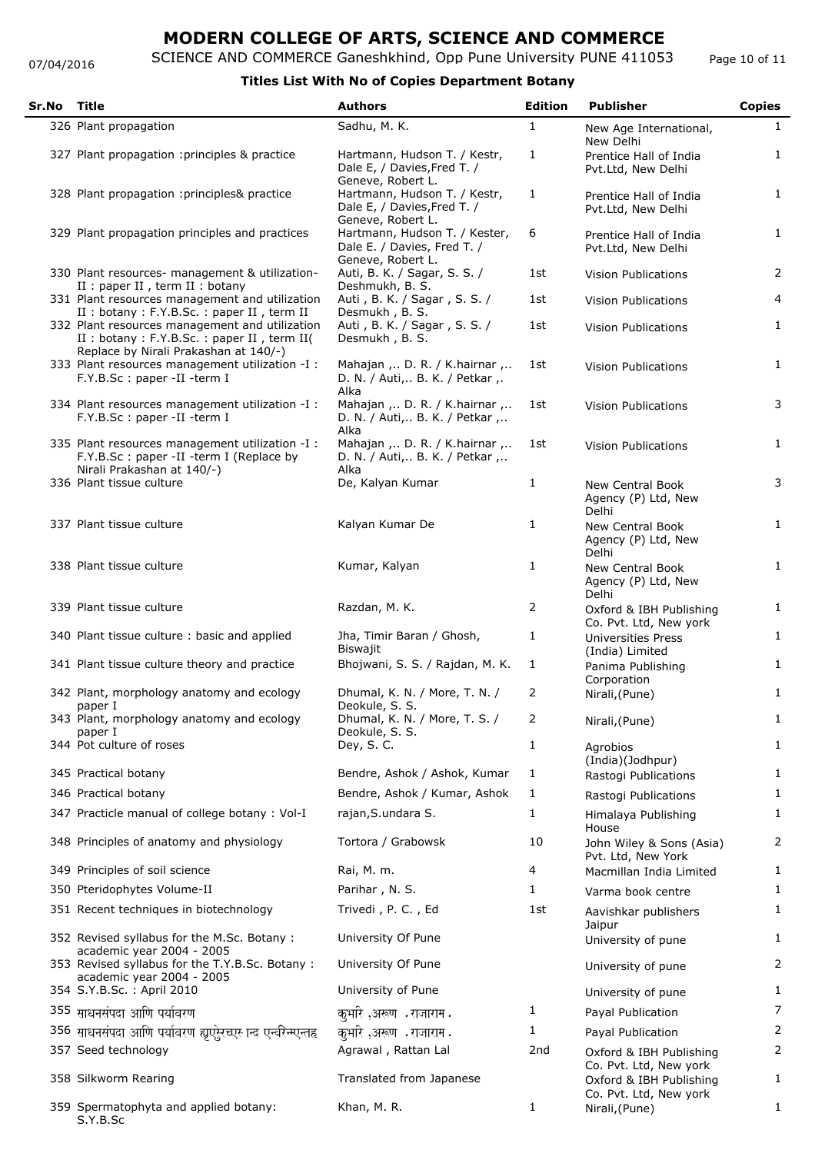07/04/2016

## **MODERN COLLEGE OF ARTS, SCIENCE AND COMMERCE**

SCIENCE AND COMMERCE Ganeshkhind, Opp Pune University PUNE 411053

### **Titles List With No of Copies Department Botany**

| Sr.No | Title                                                                                                                                   | <b>Authors</b>                                                                                         | <b>Edition</b> | <b>Publisher</b>                                           | <b>Copies</b>  |
|-------|-----------------------------------------------------------------------------------------------------------------------------------------|--------------------------------------------------------------------------------------------------------|----------------|------------------------------------------------------------|----------------|
|       | 326 Plant propagation                                                                                                                   | Sadhu, M. K.                                                                                           | 1              | New Age International,<br>New Delhi                        | 1              |
|       | 327 Plant propagation : principles & practice                                                                                           | Hartmann, Hudson T. / Kestr,<br>Dale E, / Davies, Fred T. /<br>Geneve, Robert L.                       | 1              | Prentice Hall of India<br>Pvt.Ltd, New Delhi               | $\mathbf{1}$   |
|       | 328 Plant propagation : principles& practice                                                                                            | Hartmann, Hudson T. / Kestr,<br>Dale E, / Davies, Fred T. /                                            | 1              | Prentice Hall of India<br>Pvt.Ltd, New Delhi               | 1              |
|       | 329 Plant propagation principles and practices                                                                                          | Geneve, Robert L.<br>Hartmann, Hudson T. / Kester,<br>Dale E. / Davies, Fred T. /<br>Geneve, Robert L. | 6              | Prentice Hall of India<br>Pvt.Ltd, New Delhi               | 1              |
|       | 330 Plant resources- management & utilization-<br>II : paper II, term II : botany                                                       | Auti, B. K. / Sagar, S. S. /<br>Deshmukh, B. S.                                                        | 1st            | <b>Vision Publications</b>                                 | $\overline{2}$ |
|       | 331 Plant resources management and utilization<br>II : botany : F.Y.B.Sc. : paper II, term II                                           | Auti, B. K. / Sagar, S. S. /<br>Desmukh, B. S.                                                         | 1st            | <b>Vision Publications</b>                                 | 4              |
|       | 332 Plant resources management and utilization<br>II : botany : F.Y.B.Sc. : paper II, term II(<br>Replace by Nirali Prakashan at 140/-) | Auti, B. K. / Sagar, S. S. /<br>Desmukh, B. S.                                                         | 1st            | <b>Vision Publications</b>                                 | 1              |
|       | 333 Plant resources management utilization -I :<br>F.Y.B.Sc: paper -II -term I                                                          | Mahajan , . D. R. / K. hairnar ,<br>D. N. / Auti, B. K. / Petkar,.<br>Alka                             | 1st            | <b>Vision Publications</b>                                 | $\mathbf{1}$   |
|       | 334 Plant resources management utilization -I :<br>F.Y.B.Sc: paper -II -term I                                                          | Mahajan ,  D. R. / K.hairnar ,<br>D. N. / Auti, B. K. / Petkar ,<br>Alka                               | 1st            | <b>Vision Publications</b>                                 | 3              |
|       | 335 Plant resources management utilization -I :<br>F.Y.B.Sc: paper -II -term I (Replace by<br>Nirali Prakashan at 140/-)                | Mahajan ,  D. R. / K.hairnar ,<br>D. N. / Auti, B. K. / Petkar ,<br>Alka                               | 1st            | <b>Vision Publications</b>                                 | 1              |
|       | 336 Plant tissue culture                                                                                                                | De, Kalyan Kumar                                                                                       | 1              | New Central Book<br>Agency (P) Ltd, New<br>Delhi           | 3              |
|       | 337 Plant tissue culture                                                                                                                | Kalyan Kumar De                                                                                        | 1              | New Central Book<br>Agency (P) Ltd, New<br>Delhi           | 1              |
|       | 338 Plant tissue culture                                                                                                                | Kumar, Kalyan                                                                                          | 1              | New Central Book<br>Agency (P) Ltd, New                    | 1              |
|       | 339 Plant tissue culture                                                                                                                | Razdan, M. K.                                                                                          | 2              | Delhi<br>Oxford & IBH Publishing<br>Co. Pvt. Ltd, New york | 1              |
|       | 340 Plant tissue culture : basic and applied                                                                                            | Jha, Timir Baran / Ghosh,<br>Biswajit                                                                  | 1              | <b>Universities Press</b>                                  | 1              |
|       | 341 Plant tissue culture theory and practice                                                                                            | Bhojwani, S. S. / Rajdan, M. K.                                                                        | 1              | (India) Limited<br>Panima Publishing                       | 1              |
|       | 342 Plant, morphology anatomy and ecology                                                                                               | Dhumal, K. N. / More, T. N. /<br>Deokule, S. S.                                                        | 2              | Corporation<br>Nirali, (Pune)                              | 1              |
|       | paper I<br>343 Plant, morphology anatomy and ecology<br>paper I                                                                         | Dhumal, K. N. / More, T. S. /<br>Deokule, S. S.                                                        | 2              | Nirali, (Pune)                                             | 1              |
|       | 344 Pot culture of roses                                                                                                                | Dey, S. C.                                                                                             | 1              | Agrobios<br>(India)(Jodhpur)                               | 1              |
|       | 345 Practical botany                                                                                                                    | Bendre, Ashok / Ashok, Kumar                                                                           | 1              | Rastogi Publications                                       | 1              |
|       | 346 Practical botany                                                                                                                    | Bendre, Ashok / Kumar, Ashok                                                                           | 1              | Rastogi Publications                                       | 1              |
|       | 347 Practicle manual of college botany: Vol-I                                                                                           | rajan, S. undara S.                                                                                    | 1              | Himalaya Publishing                                        | 1              |
|       | 348 Principles of anatomy and physiology                                                                                                | Tortora / Grabowsk                                                                                     | 10             | House<br>John Wiley & Sons (Asia)<br>Pvt. Ltd, New York    | 2              |
|       | 349 Principles of soil science                                                                                                          | Rai, M. m.                                                                                             | 4              | Macmillan India Limited                                    | 1              |
|       | 350 Pteridophytes Volume-II                                                                                                             | Parihar, N. S.                                                                                         | $\mathbf{1}$   | Varma book centre                                          | 1              |
|       | 351 Recent techniques in biotechnology                                                                                                  | Trivedi, P. C., Ed                                                                                     | 1st            | Aavishkar publishers                                       | 1              |
|       | 352 Revised syllabus for the M.Sc. Botany:                                                                                              | University Of Pune                                                                                     |                | Jaipur<br>University of pune                               | 1              |
|       | academic year 2004 - 2005<br>353 Revised syllabus for the T.Y.B.Sc. Botany:<br>academic year 2004 - 2005                                | University Of Pune                                                                                     |                | University of pune                                         | 2              |
|       | 354 S.Y.B.Sc.: April 2010                                                                                                               | University of Pune                                                                                     |                | University of pune                                         | 1              |
|       | 355 साधनसंपदा आणि पर्यावरण                                                                                                              | कुभारे ,अरूण .राजाराम.                                                                                 | 1              | Payal Publication                                          | $\overline{7}$ |
|       | 356 साधनसंपदा आणि पर्यावरण ह्यूएरेरच्एर न्द एन्वरिन्एन्तह                                                                               | कुभारे ,अरूण .राजाराम.                                                                                 | 1              | Payal Publication                                          | $\overline{2}$ |
|       | 357 Seed technology                                                                                                                     | Agrawal, Rattan Lal                                                                                    | 2nd            | Oxford & IBH Publishing<br>Co. Pvt. Ltd, New york          | $\overline{2}$ |
|       | 358 Silkworm Rearing                                                                                                                    | Translated from Japanese                                                                               |                | Oxford & IBH Publishing<br>Co. Pvt. Ltd, New york          | 1              |
|       | 359 Spermatophyta and applied botany:<br>S.Y.B.Sc                                                                                       | Khan, M. R.                                                                                            | 1              | Nirali, (Pune)                                             | 1              |

Page 10 of 11